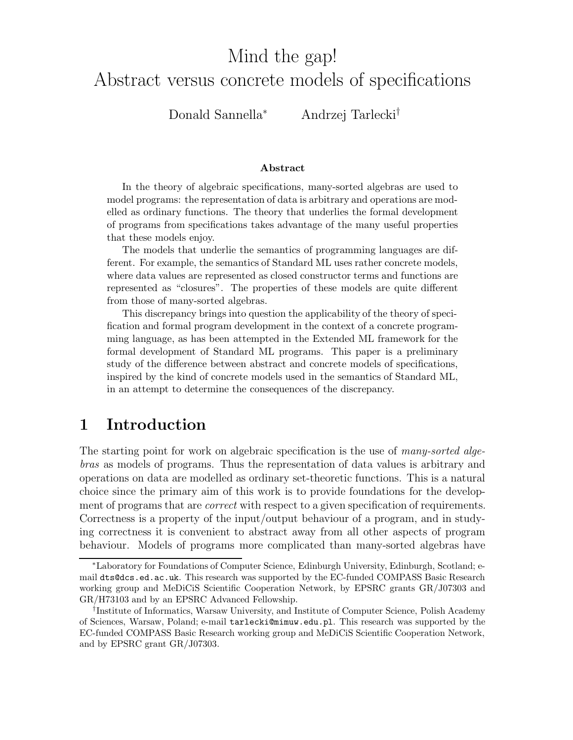# Mind the gap! Abstract versus concrete models of specifications

Donald Sannella<sup>∗</sup> Andrzej Tarlecki†

#### **Abstract**

In the theory of algebraic specifications, many-sorted algebras are used to model programs: the representation of data is arbitrary and operations are modelled as ordinary functions. The theory that underlies the formal development of programs from specifications takes advantage of the many useful properties that these models enjoy.

The models that underlie the semantics of programming languages are different. For example, the semantics of Standard ML uses rather concrete models, where data values are represented as closed constructor terms and functions are represented as "closures". The properties of these models are quite different from those of many-sorted algebras.

This discrepancy brings into question the applicability of the theory of specification and formal program development in the context of a concrete programming language, as has been attempted in the Extended ML framework for the formal development of Standard ML programs. This paper is a preliminary study of the difference between abstract and concrete models of specifications, inspired by the kind of concrete models used in the semantics of Standard ML, in an attempt to determine the consequences of the discrepancy.

### **1 Introduction**

The starting point for work on algebraic specification is the use of many-sorted algebras as models of programs. Thus the representation of data values is arbitrary and operations on data are modelled as ordinary set-theoretic functions. This is a natural choice since the primary aim of this work is to provide foundations for the development of programs that are *correct* with respect to a given specification of requirements. Correctness is a property of the input/output behaviour of a program, and in studying correctness it is convenient to abstract away from all other aspects of program behaviour. Models of programs more complicated than many-sorted algebras have

<sup>∗</sup>Laboratory for Foundations of Computer Science, Edinburgh University, Edinburgh, Scotland; email dts@dcs.ed.ac.uk. This research was supported by the EC-funded COMPASS Basic Research working group and MeDiCiS Scientific Cooperation Network, by EPSRC grants GR/J07303 and GR/H73103 and by an EPSRC Advanced Fellowship.

<sup>†</sup>Institute of Informatics, Warsaw University, and Institute of Computer Science, Polish Academy of Sciences, Warsaw, Poland; e-mail tarlecki@mimuw.edu.pl. This research was supported by the EC-funded COMPASS Basic Research working group and MeDiCiS Scientific Cooperation Network, and by EPSRC grant GR/J07303.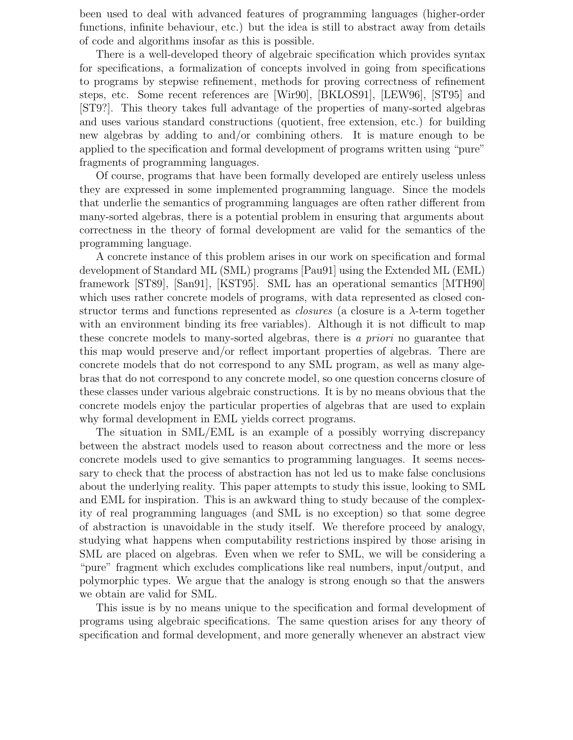been used to deal with advanced features of programming languages (higher-order functions, infinite behaviour, etc.) but the idea is still to abstract away from details of code and algorithms insofar as this is possible.

There is a well-developed theory of algebraic specification which provides syntax for specifications, a formalization of concepts involved in going from specifications to programs by stepwise refinement, methods for proving correctness of refinement steps, etc. Some recent references are [Wir90], [BKLOS91], [LEW96], [ST95] and [ST9?]. This theory takes full advantage of the properties of many-sorted algebras and uses various standard constructions (quotient, free extension, etc.) for building new algebras by adding to and/or combining others. It is mature enough to be applied to the specification and formal development of programs written using "pure" fragments of programming languages.

Of course, programs that have been formally developed are entirely useless unless they are expressed in some implemented programming language. Since the models that underlie the semantics of programming languages are often rather different from many-sorted algebras, there is a potential problem in ensuring that arguments about correctness in the theory of formal development are valid for the semantics of the programming language.

A concrete instance of this problem arises in our work on specification and formal development of Standard ML (SML) programs [Pau91] using the Extended ML (EML) framework [ST89], [San91], [KST95]. SML has an operational semantics [MTH90] which uses rather concrete models of programs, with data represented as closed constructor terms and functions represented as *closures* (a closure is a  $\lambda$ -term together with an environment binding its free variables). Although it is not difficult to map these concrete models to many-sorted algebras, there is a priori no guarantee that this map would preserve and/or reflect important properties of algebras. There are concrete models that do not correspond to any SML program, as well as many algebras that do not correspond to any concrete model, so one question concerns closure of these classes under various algebraic constructions. It is by no means obvious that the concrete models enjoy the particular properties of algebras that are used to explain why formal development in EML yields correct programs.

The situation in SML/EML is an example of a possibly worrying discrepancy between the abstract models used to reason about correctness and the more or less concrete models used to give semantics to programming languages. It seems necessary to check that the process of abstraction has not led us to make false conclusions about the underlying reality. This paper attempts to study this issue, looking to SML and EML for inspiration. This is an awkward thing to study because of the complexity of real programming languages (and SML is no exception) so that some degree of abstraction is unavoidable in the study itself. We therefore proceed by analogy, studying what happens when computability restrictions inspired by those arising in SML are placed on algebras. Even when we refer to SML, we will be considering a "pure" fragment which excludes complications like real numbers, input/output, and polymorphic types. We argue that the analogy is strong enough so that the answers we obtain are valid for SML.

This issue is by no means unique to the specification and formal development of programs using algebraic specifications. The same question arises for any theory of specification and formal development, and more generally whenever an abstract view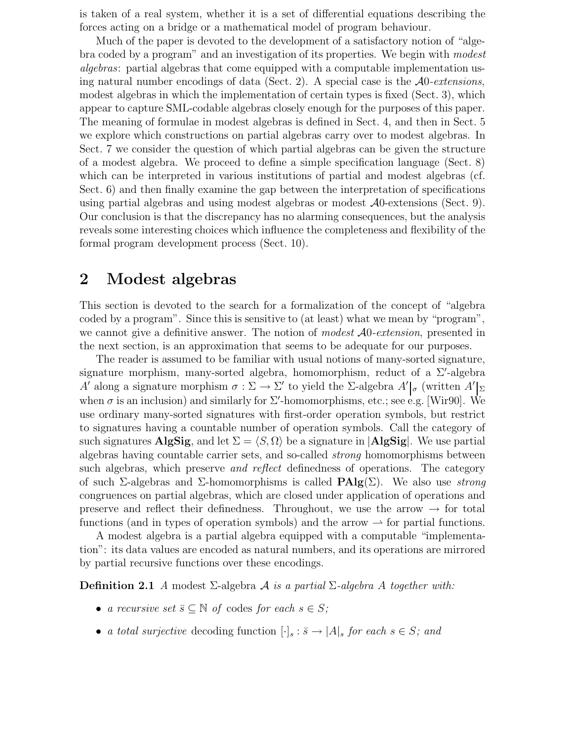is taken of a real system, whether it is a set of differential equations describing the forces acting on a bridge or a mathematical model of program behaviour.

Much of the paper is devoted to the development of a satisfactory notion of "algebra coded by a program" and an investigation of its properties. We begin with modest algebras: partial algebras that come equipped with a computable implementation using natural number encodings of data (Sect. 2). A special case is the  $A0$ -extensions, modest algebras in which the implementation of certain types is fixed (Sect. 3), which appear to capture SML-codable algebras closely enough for the purposes of this paper. The meaning of formulae in modest algebras is defined in Sect. 4, and then in Sect. 5 we explore which constructions on partial algebras carry over to modest algebras. In Sect. 7 we consider the question of which partial algebras can be given the structure of a modest algebra. We proceed to define a simple specification language (Sect. 8) which can be interpreted in various institutions of partial and modest algebras (cf. Sect. 6) and then finally examine the gap between the interpretation of specifications using partial algebras and using modest algebras or modest  $\mathcal{A}0$ -extensions (Sect. 9). Our conclusion is that the discrepancy has no alarming consequences, but the analysis reveals some interesting choices which influence the completeness and flexibility of the formal program development process (Sect. 10).

#### **2 Modest algebras**

This section is devoted to the search for a formalization of the concept of "algebra coded by a program". Since this is sensitive to (at least) what we mean by "program", we cannot give a definitive answer. The notion of modest  $A0$ -extension, presented in the next section, is an approximation that seems to be adequate for our purposes.

The reader is assumed to be familiar with usual notions of many-sorted signature, signature morphism, many-sorted algebra, homomorphism, reduct of a  $\Sigma'$ -algebra A' along a signature morphism  $\sigma : \Sigma \to \Sigma'$  to yield the  $\Sigma$ -algebra  $A'|_{\sigma}$  (written  $A'|_{\Sigma}$ when  $\sigma$  is an inclusion) and similarly for  $\Sigma'$ -homomorphisms, etc.; see e.g. [Wir90]. We use ordinary many-sorted signatures with first-order operation symbols, but restrict to signatures having a countable number of operation symbols. Call the category of such signatures **AlgSig**, and let  $\Sigma = \langle S, \Omega \rangle$  be a signature in **|AlgSig**|. We use partial algebras having countable carrier sets, and so-called strong homomorphisms between such algebras, which preserve and reflect definedness of operations. The category of such  $\Sigma$ -algebras and  $\Sigma$ -homomorphisms is called **PAlg**( $\Sigma$ ). We also use *strong* congruences on partial algebras, which are closed under application of operations and preserve and reflect their definedness. Throughout, we use the arrow  $\rightarrow$  for total functions (and in types of operation symbols) and the arrow  $\rightarrow$  for partial functions.

A modest algebra is a partial algebra equipped with a computable "implementation": its data values are encoded as natural numbers, and its operations are mirrored by partial recursive functions over these encodings.

**Definition 2.1** A modest  $\Sigma$ -algebra A is a partial  $\Sigma$ -algebra A together with:

- a recursive set  $\overline{s} \subseteq \mathbb{N}$  of codes for each  $s \in S$ ;
- a total surjective decoding function  $[\cdot]_s : \overline{s} \to |A|_s$  for each  $s \in S$ ; and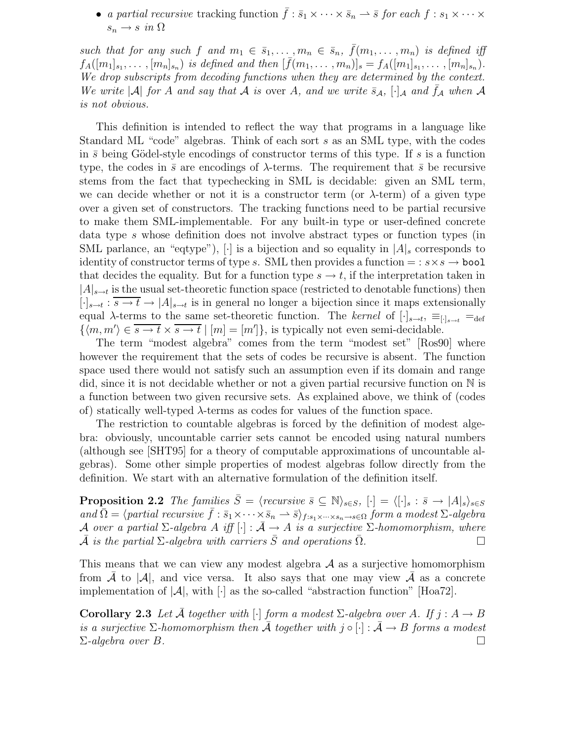• a partial recursive tracking function  $\bar{f} : \bar{s}_1 \times \cdots \times \bar{s}_n \to \bar{s}$  for each  $f : s_1 \times \cdots \times$  $s_n \to s$  in  $\Omega$ 

such that for any such f and  $m_1 \in \bar{s}_1, \ldots, m_n \in \bar{s}_n$ ,  $f(m_1, \ldots, m_n)$  is defined iff  $f_A([m_1]_{s_1},\ldots,[m_n]_{s_n})$  is defined and then  $[\bar{f}(m_1,\ldots,m_n)]_s = f_A([m_1]_{s_1},\ldots,[m_n]_{s_n})$ . We drop subscripts from decoding functions when they are determined by the context. We write |A| for A and say that A is over A, and we write  $\bar{s}_A$ ,  $[\cdot]_A$  and  $\bar{f}_A$  when A is not obvious.

This definition is intended to reflect the way that programs in a language like Standard ML "code" algebras. Think of each sort s as an SML type, with the codes in  $\bar{s}$  being Gödel-style encodings of constructor terms of this type. If s is a function type, the codes in  $\bar{s}$  are encodings of  $\lambda$ -terms. The requirement that  $\bar{s}$  be recursive stems from the fact that typechecking in SML is decidable: given an SML term, we can decide whether or not it is a constructor term (or  $\lambda$ -term) of a given type over a given set of constructors. The tracking functions need to be partial recursive to make them SML-implementable. For any built-in type or user-defined concrete data type s whose definition does not involve abstract types or function types (in SML parlance, an "eqtype"),  $[\cdot]$  is a bijection and so equality in  $|A|_s$  corresponds to identity of constructor terms of type s. SML then provides a function  $= : s \times s \rightarrow \text{bool}$ that decides the equality. But for a function type  $s \to t$ , if the interpretation taken in  $|A|_{s\to t}$  is the usual set-theoretic function space (restricted to denotable functions) then  $[\cdot]_{s\to t} : \overline{s\to t} \to |A|_{s\to t}$  is in general no longer a bijection since it maps extensionally equal  $\lambda$ -terms to the same set-theoretic function. The kernel of  $[\cdot]_{s\to t}$ ,  $\equiv_{[\cdot]_{s\to t}}$  =  $_{\text{def}}$  $\{\langle m, m' \rangle \in \overline{s \to t} \times \overline{s \to t} \mid [m] = [m']\},\$ is typically not even semi-decidable.

The term "modest algebra" comes from the term "modest set" [Ros90] where however the requirement that the sets of codes be recursive is absent. The function space used there would not satisfy such an assumption even if its domain and range did, since it is not decidable whether or not a given partial recursive function on N is a function between two given recursive sets. As explained above, we think of (codes of) statically well-typed  $\lambda$ -terms as codes for values of the function space.

The restriction to countable algebras is forced by the definition of modest algebra: obviously, uncountable carrier sets cannot be encoded using natural numbers (although see [SHT95] for a theory of computable approximations of uncountable algebras). Some other simple properties of modest algebras follow directly from the definition. We start with an alternative formulation of the definition itself.

**Proposition 2.2** The families  $\overline{S} = \langle recursive \overline{s} \subseteq \mathbb{N} \rangle_{s \in S}, [\cdot] = \langle [\cdot]_s : \overline{s} \to |A|_s \rangle_{s \in S}$ and  $\overline{\Omega} = \langle partial \text{ recursive } \overline{f} : \overline{s}_1 \times \cdots \times \overline{s}_n \to \overline{s} \rangle_{f:s_1 \times \cdots \times s_n \to s \in \Omega} \text{ form a modest } \Sigma \text{-algebra}$ A over a partial  $\Sigma$ -algebra A iff  $[\cdot] : \overline{A} \to A$  is a surjective  $\Sigma$ -homomorphism, where  $\bar{\mathcal{A}}$  is the partial  $\Sigma$ -algebra with carriers  $\bar{S}$  and operations  $\bar{\Omega}$ .

This means that we can view any modest algebra  $A$  as a surjective homomorphism from  $\mathcal A$  to  $|\mathcal A|$ , and vice versa. It also says that one may view  $\mathcal A$  as a concrete implementation of  $|\mathcal{A}|$ , with  $|\cdot|$  as the so-called "abstraction function" [Hoa72].

**Corollary 2.3** Let A together with  $[\cdot]$  form a modest  $\Sigma$ -algebra over A. If  $j : A \rightarrow B$ is a surjective  $\Sigma$ -homomorphism then  $\overline{A}$  together with j  $\circ$   $[\cdot] : \overline{A} \to B$  forms a modest  $\Sigma$ -algebra over B.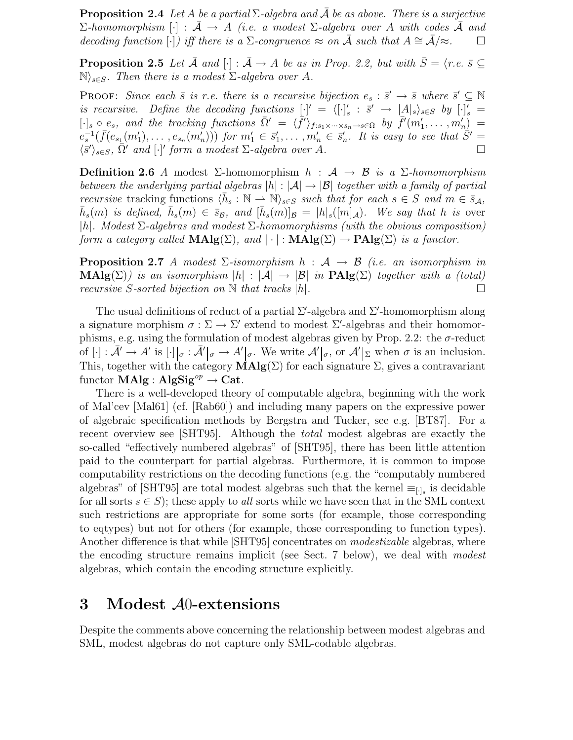**Proposition 2.4** Let A be a partial  $\Sigma$ -algebra and  $\overline{A}$  be as above. There is a surjective  $\Sigma$ -homomorphism  $[\cdot] : \overline{A} \to A$  (i.e. a modest  $\Sigma$ -algebra over A with codes  $\overline{A}$  and decoding function  $\lceil \cdot \rceil$ ) iff there is a  $\Sigma$ -congruence  $\approx$  on  $\bar{\mathcal{A}}$  such that  $A \cong \bar{\mathcal{A}}/\approx$ .

**Proposition 2.5** Let  $\overline{A}$  and  $[\cdot] : \overline{A} \to A$  be as in Prop. 2.2, but with  $\overline{S} = \langle r.e. \overline{s} \subseteq$  $\mathbb{N}_{s \in S}$ . Then there is a modest  $\Sigma$ -algebra over A.

**PROOF:** Since each  $\bar{s}$  is r.e. there is a recursive bijection  $e_s : \bar{s}' \to \bar{s}$  where  $\bar{s}' \subseteq \mathbb{N}$ is recursive. Define the decoding functions  $[\cdot]' = \langle [\cdot]_s' : \overline{s}' \to |A|_s \rangle_{s \in S}$  by  $[\cdot]_s' =$  $[\cdot]_s \circ e_s$ , and the tracking functions  $\overline{\Omega}' = \langle \overline{f'} \rangle_{f:s_1 \times \cdots \times s_n \to s \in \Omega}$  by  $\overline{f'(m'_1, \ldots, m'_n)} =$  $e_s^{-1}(\bar{f}(e_{s_1}(m'_1),\ldots,e_{s_n}(m'_n)))$  for  $m'_1 \in \bar{s}'_1,\ldots,m'_n \in \bar{s}'_n$ . It is easy to see that  $\bar{S}' =$  $\langle \bar{s}' \rangle_{s \in S}$ ,  $\bar{\Omega}'$  and  $[\cdot]'$  form a modest  $\Sigma$ -algebra over A.

**Definition 2.6** A modest  $\Sigma$ -homomorphism  $h : A \rightarrow B$  is a  $\Sigma$ -homomorphism between the underlying partial algebras  $|h| : |A| \to |B|$  together with a family of partial recursive tracking functions  $\langle \bar{h}_s : \mathbb{N} \to \mathbb{N} \rangle_{s \in S}$  such that for each  $s \in S$  and  $m \in \bar{s}_\mathcal{A}$ ,  $\bar{h}_s(m)$  is defined,  $\bar{h}_s(m) \in \bar{s}_B$ , and  $[\bar{h}_s(m)]_B = |h|_s([m]_A)$ . We say that h is over |h|. Modest  $\Sigma$ -algebras and modest  $\Sigma$ -homomorphisms (with the obvious composition) form a category called **MAlg**( $\Sigma$ ), and  $|\cdot|$ : **MAlg**( $\Sigma$ )  $\rightarrow$  **PAlg**( $\Sigma$ ) is a functor.

**Proposition 2.7** A modest  $\Sigma$ -isomorphism  $h : A \rightarrow B$  (i.e. an isomorphism in **MAlg** $(\Sigma)$ ) is an isomorphism  $|h| : |\mathcal{A}| \to |\mathcal{B}|$  in **PAlg** $(\Sigma)$  together with a (total) recursive S-sorted bijection on  $\mathbb N$  that tracks  $|h|$ .

The usual definitions of reduct of a partial  $\Sigma$ -algebra and  $\Sigma$ -homomorphism along a signature morphism  $\sigma : \Sigma \to \Sigma'$  extend to modest  $\Sigma'$ -algebras and their homomorphisms, e.g. using the formulation of modest algebras given by Prop. 2.2: the  $\sigma$ -reduct of  $[\cdot] : \overline{\mathcal{A}}' \to A'$  is  $[\cdot] |_{\sigma} : \overline{\mathcal{A}}' |_{\sigma} \to A' |_{\sigma}$ . We write  $\mathcal{A}' |_{\sigma}$ , or  $\mathcal{A}' |_{\Sigma}$  when  $\sigma$  is an inclusion. This, together with the category  $\textbf{MAlg}(\Sigma)$  for each signature  $\Sigma$ , gives a contravariant functor **MAlg** :  $\mathbf{AlgSig}^{op} \to \mathbf{Cat}$ .

There is a well-developed theory of computable algebra, beginning with the work of Mal'cev [Mal61] (cf. [Rab60]) and including many papers on the expressive power of algebraic specification methods by Bergstra and Tucker, see e.g. [BT87]. For a recent overview see [SHT95]. Although the total modest algebras are exactly the so-called "effectively numbered algebras" of [SHT95], there has been little attention paid to the counterpart for partial algebras. Furthermore, it is common to impose computability restrictions on the decoding functions (e.g. the "computably numbered algebras" of [SHT95] are total modest algebras such that the kernel  $\equiv_{\text{L}_s}$  is decidable for all sorts  $s \in S$ ; these apply to all sorts while we have seen that in the SML context such restrictions are appropriate for some sorts (for example, those corresponding to eqtypes) but not for others (for example, those corresponding to function types). Another difference is that while [SHT95] concentrates on modestizable algebras, where the encoding structure remains implicit (see Sect. 7 below), we deal with modest algebras, which contain the encoding structure explicitly.

# **3 Modest** A0**-extensions**

Despite the comments above concerning the relationship between modest algebras and SML, modest algebras do not capture only SML-codable algebras.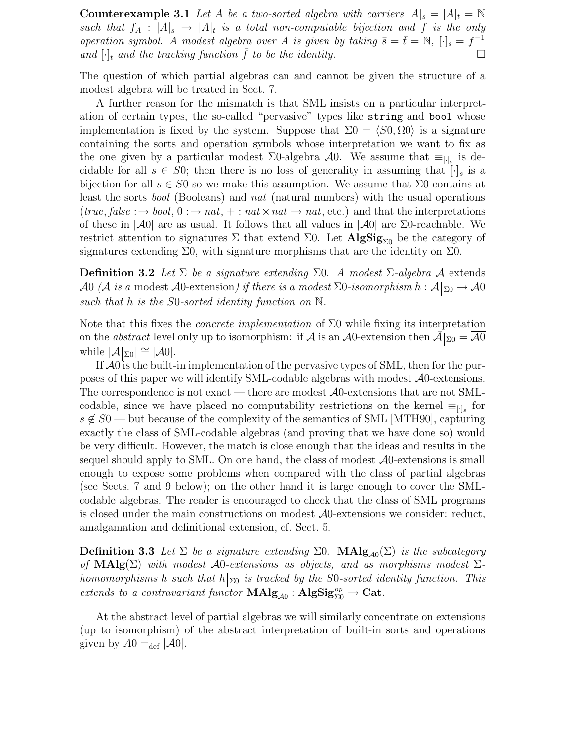**Counterexample 3.1** Let A be a two-sorted algebra with carriers  $|A|_s = |A|_t = N$ such that  $f_A : |A|_s \to |A|_t$  is a total non-computable bijection and f is the only operation symbol. A modest algebra over A is given by taking  $\bar{s} = \bar{t} = \mathbb{N}, [\cdot]_s = f^{-1}$ and  $[\cdot]_t$  and the tracking function f to be the identity.

The question of which partial algebras can and cannot be given the structure of a modest algebra will be treated in Sect. 7.

A further reason for the mismatch is that SML insists on a particular interpretation of certain types, the so-called "pervasive" types like string and bool whose implementation is fixed by the system. Suppose that  $\Sigma 0 = \langle S0, \Omega 0 \rangle$  is a signature containing the sorts and operation symbols whose interpretation we want to fix as the one given by a particular modest  $\Sigma$ 0-algebra A0. We assume that  $\equiv_{[\cdot]_s}$  is decidable for all  $s \in S_0$ ; then there is no loss of generality in assuming that  $[\cdot]_s$  is a bijection for all  $s \in S_0$  so we make this assumption. We assume that  $\Sigma_0$  contains at least the sorts bool (Booleans) and nat (natural numbers) with the usual operations  $(true, false : \rightarrow bool, 0 : \rightarrow nat, +: nat \times nat \rightarrow nat, etc.)$  and that the interpretations of these in  $|\mathcal{A}0|$  are as usual. It follows that all values in  $|\mathcal{A}0|$  are  $\Sigma$ 0-reachable. We restrict attention to signatures  $\Sigma$  that extend  $\Sigma$ 0. Let  $\mathbf{AlgSig}_{\Sigma 0}$  be the category of signatures extending  $\Sigma 0$ , with signature morphisms that are the identity on  $\Sigma 0$ .

**Definition 3.2** Let  $\Sigma$  be a signature extending  $\Sigma$ 0. A modest  $\Sigma$ -algebra A extends A0 (A is a modest A0-extension) if there is a modest  $\Sigma$ 0-isomorphism  $h : A|_{\Sigma} \to A0$ such that  $\bar{h}$  is the S0-sorted identity function on  $\mathbb{N}$ .

Note that this fixes the *concrete implementation* of  $\Sigma 0$  while fixing its interpretation on the *abstract* level only up to isomorphism: if  $\mathcal A$  is an  $\mathcal A$ 0-extension then  $\mathcal A|_{\Sigma 0} = \overline{\mathcal A 0}$ while  $|\mathcal{A}|_{\Sigma} \cong |\mathcal{A}0|$ .

If A0 is the built-in implementation of the pervasive types of SML, then for the purposes of this paper we will identify SML-codable algebras with modest A0-extensions. The correspondence is not exact — there are modest  $A0$ -extensions that are not SMLcodable, since we have placed no computability restrictions on the kernel  $\equiv_{[\cdot]}$  for  $s \notin S0$  — but because of the complexity of the semantics of SML [MTH90], capturing exactly the class of SML-codable algebras (and proving that we have done so) would be very difficult. However, the match is close enough that the ideas and results in the sequel should apply to SML. On one hand, the class of modest  $A0$ -extensions is small enough to expose some problems when compared with the class of partial algebras (see Sects. 7 and 9 below); on the other hand it is large enough to cover the SMLcodable algebras. The reader is encouraged to check that the class of SML programs is closed under the main constructions on modest A0-extensions we consider: reduct, amalgamation and definitional extension, cf. Sect. 5.

**Definition 3.3** Let  $\Sigma$  be a signature extending  $\Sigma$ 0. **MAlg**<sub>A0</sub>( $\Sigma$ ) is the subcategory of **MAlg**( $\Sigma$ ) with modest A0-extensions as objects, and as morphisms modest  $\Sigma$ homomorphisms h such that  $h|_{\Sigma_0}$  is tracked by the S0-sorted identity function. This extends to a contravariant functor  $\textbf{MAlg}_{A0} : \textbf{AlgSig}_{\Sigma 0}^{op} \to \textbf{Cat}.$ 

At the abstract level of partial algebras we will similarly concentrate on extensions (up to isomorphism) of the abstract interpretation of built-in sorts and operations given by  $A0 =_{def} A0$ .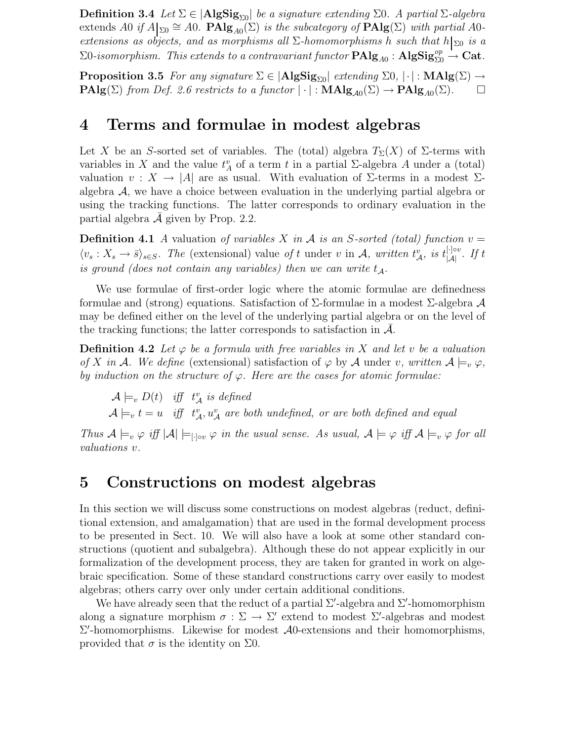**Definition 3.4** Let  $\Sigma \in |{\bf AlgSig}_{\Sigma 0}|$  be a signature extending  $\Sigma 0$ . A partial  $\Sigma$ -algebra extends A0 if  $A|_{\Sigma_0} \cong A_0$ . **PAlg**<sub>A0</sub>( $\Sigma$ ) is the subcategory of **PAlg**( $\Sigma$ ) with partial A0extensions as objects, and as morphisms all  $\Sigma$ -homomorphisms h such that  $h|_{\Sigma_{0}}$  is a  $\Sigma$ 0-isomorphism. This extends to a contravariant functor  $\textbf{PAlg}_{A0} : \textbf{AlgSig}_{\Sigma 0}^{op} \to \textbf{Cat}.$ 

**Proposition 3.5** For any signature  $\Sigma \in$   $|\mathbf{AlgSig}_{\Sigma 0}|$  extending  $\Sigma 0, |\cdot| : \mathbf{MAlg}(\Sigma) \rightarrow$ **PAlg**( $\Sigma$ ) from Def. 2.6 restricts to a functor  $|\cdot|$ : **MAlg**<sub>A0</sub>( $\Sigma$ ) → **PAlg**<sub>A0</sub>( $\Sigma$ ).  $\Box$ 

#### **4 Terms and formulae in modest algebras**

Let X be an S-sorted set of variables. The (total) algebra  $T_{\Sigma}(X)$  of  $\Sigma$ -terms with variables in X and the value  $t_A^v$  of a term t in a partial  $\Sigma$ -algebra A under a (total) valuation  $v: X \to |A|$  are as usual. With evaluation of  $\Sigma$ -terms in a modest  $\Sigma$ algebra A, we have a choice between evaluation in the underlying partial algebra or using the tracking functions. The latter corresponds to ordinary evaluation in the partial algebra  $\mathcal A$  given by Prop. 2.2.

**Definition 4.1** A valuation of variables X in A is an S-sorted (total) function  $v =$  $\langle v_s : X_s \to \bar{s} \rangle_{s \in S}$ . The (extensional) value of t under v in A, written  $t^v_A$ , is  $t^{[\cdot]\circ v}_{|\mathcal{A}|}$ . If t is ground (does not contain any variables) then we can write  $t_A$ .

We use formulae of first-order logic where the atomic formulae are definedness formulae and (strong) equations. Satisfaction of Σ-formulae in a modest Σ-algebra A may be defined either on the level of the underlying partial algebra or on the level of the tracking functions; the latter corresponds to satisfaction in  $\mathcal{A}$ .

**Definition 4.2** Let  $\varphi$  be a formula with free variables in X and let v be a valuation of X in A. We define (extensional) satisfaction of  $\varphi$  by A under v, written  $\mathcal{A} \models_v \varphi$ , by induction on the structure of  $\varphi$ . Here are the cases for atomic formulae:

 $\mathcal{A} \models_v D(t)$  iff  $t^v_{\mathcal{A}}$  is defined  $\mathcal{A}\models_v t = u \quad \textit{iff} \quad t^v_{\mathcal{A}}, u^v_{\mathcal{A}} \textit{ are both undefined, or are both defined and equal}$ 

Thus  $\mathcal{A} \models_v \varphi$  iff  $|\mathcal{A}| \models_{\Box v} \varphi$  in the usual sense. As usual,  $\mathcal{A} \models \varphi$  iff  $\mathcal{A} \models_v \varphi$  for all valuations v.

### **5 Constructions on modest algebras**

In this section we will discuss some constructions on modest algebras (reduct, definitional extension, and amalgamation) that are used in the formal development process to be presented in Sect. 10. We will also have a look at some other standard constructions (quotient and subalgebra). Although these do not appear explicitly in our formalization of the development process, they are taken for granted in work on algebraic specification. Some of these standard constructions carry over easily to modest algebras; others carry over only under certain additional conditions.

We have already seen that the reduct of a partial  $\Sigma'$ -algebra and  $\Sigma'$ -homomorphism along a signature morphism  $\sigma : \Sigma \to \Sigma'$  extend to modest  $\Sigma'$ -algebras and modest  $\Sigma'$ -homomorphisms. Likewise for modest  $\mathcal{A}0$ -extensions and their homomorphisms, provided that  $\sigma$  is the identity on  $\Sigma 0$ .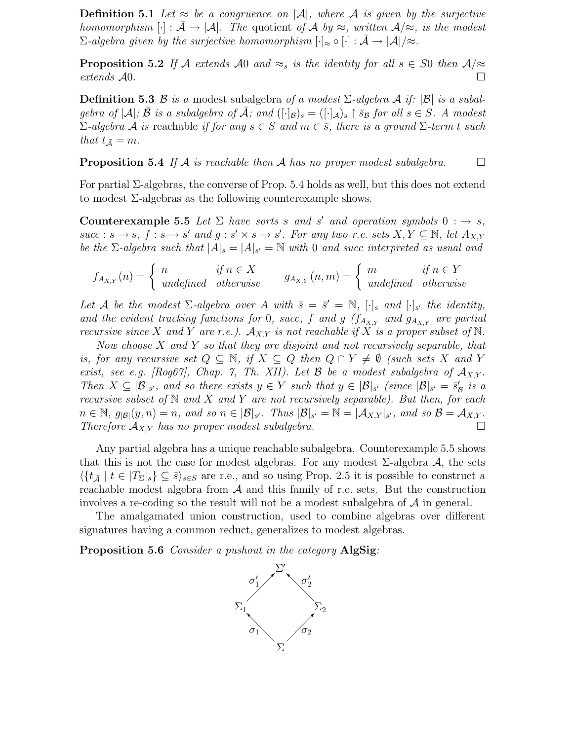**Definition 5.1** Let  $\approx$  be a congruence on  $|\mathcal{A}|$ , where A is given by the surjective homomorphism  $[\cdot] : \overline{\mathcal{A}} \to |\mathcal{A}|$ . The quotient of  $\mathcal{A}$  by  $\approx$ , written  $\mathcal{A}/\approx$ , is the modest  $\Sigma$ -algebra given by the surjective homomorphism  $\lceil·\rceil \approx \circ \lceil·\rceil : \bar{A} \rightarrow |\mathcal{A}|/\approx$ .

**Proposition 5.2** If A extends A0 and  $\approx_s$  is the identity for all  $s \in S0$  then  $A/\approx$ extends  $\mathcal{A}0.$ 

**Definition 5.3** B is a modest subalgebra of a modest  $\Sigma$ -algebra  $\mathcal{A}$  if:  $|\mathcal{B}|$  is a subalgebra of  $|\mathcal{A}|$ ;  $\bar{\mathcal{B}}$  is a subalgebra of  $\bar{\mathcal{A}}$ ; and  $([\cdot]_{\mathcal{B}})_s = ([\cdot]_{\mathcal{A}})_s \restriction \bar{s}_{\mathcal{B}}$  for all  $s \in S$ . A modest  $Σ$ -algebra *A* is reachable if for any  $s ∈ S$  and  $m ∈ \bar{s}$ , there is a ground  $Σ$ -term t such that  $t_{\bar{\mathcal{A}}} = m$ .

**Proposition 5.4** If A is reachable then A has no proper modest subalgebra.  $\square$ 

For partial Σ-algebras, the converse of Prop. 5.4 holds as well, but this does not extend to modest Σ-algebras as the following counterexample shows.

**Counterexample 5.5** Let  $\Sigma$  have sorts s and s' and operation symbols  $0 : \rightarrow s$ ,  $succ: s \to s$ ,  $f: s \to s'$  and  $g: s' \times s \to s'$ . For any two r.e. sets  $X, Y \subseteq \mathbb{N}$ , let  $A_{X,Y}$ be the  $\Sigma$ -algebra such that  $|A|_s = |A|_{s'} = \mathbb{N}$  with 0 and succ interpreted as usual and

$$
f_{A_{X,Y}}(n) = \begin{cases} n & \text{if } n \in X \\ \text{undefined} & \text{otherwise} \end{cases} \qquad g_{A_{X,Y}}(n,m) = \begin{cases} m & \text{if } n \in Y \\ \text{undefined} & \text{otherwise} \end{cases}
$$

Let A be the modest  $\Sigma$ -algebra over A with  $\bar{s} = \bar{s}' = \mathbb{N}$ ,  $[\cdot]_s$  and  $[\cdot]_{s'}$  the identity, and the evident tracking functions for 0, succ, f and g  $(f_{A_{X,Y}}$  and  $g_{A_{X,Y}}$  are partial recursive since X and Y are r.e.).  $\mathcal{A}_{X,Y}$  is not reachable if X is a proper subset of N.

Now choose  $X$  and  $Y$  so that they are disjoint and not recursively separable, that is, for any recursive set  $Q \subseteq \mathbb{N}$ , if  $X \subseteq Q$  then  $Q \cap Y \neq \emptyset$  (such sets X and Y exist, see e.g. [Rog67], Chap. 7, Th. XII]. Let  $\beta$  be a modest subalgebra of  $\mathcal{A}_{X,Y}$ . Then  $X \subseteq |\mathcal{B}|_{s'}$ , and so there exists  $y \in Y$  such that  $y \in |\mathcal{B}|_{s'}$  (since  $|\mathcal{B}|_{s'} = \bar{s}'_{\mathcal{B}}$  is a recursive subset of  $N$  and  $X$  and  $Y$  are not recursively separable). But then, for each  $n \in \mathbb{N}$ ,  $g_{|\mathcal{B}|}(y,n) = n$ , and so  $n \in |\mathcal{B}|_{s'}$ . Thus  $|\mathcal{B}|_{s'} = \mathbb{N} = |\mathcal{A}_{X,Y}|_{s'}$ , and so  $\mathcal{B} = \mathcal{A}_{X,Y}$ . Therefore  $A_{X,Y}$  has no proper modest subalgebra.

Any partial algebra has a unique reachable subalgebra. Counterexample 5.5 shows that this is not the case for modest algebras. For any modest  $\Sigma$ -algebra  $\mathcal{A}$ , the sets  $\langle \{t_{\bar{A}} | t \in |T_{\Sigma}| \} \subseteq \bar{s} \rangle_{s \in S}$  are r.e., and so using Prop. 2.5 it is possible to construct a reachable modest algebra from  $A$  and this family of r.e. sets. But the construction involves a re-coding so the result will not be a modest subalgebra of A in general.

The amalgamated union construction, used to combine algebras over different signatures having a common reduct, generalizes to modest algebras.

**Proposition 5.6** Consider a pushout in the category **AlgSig**:

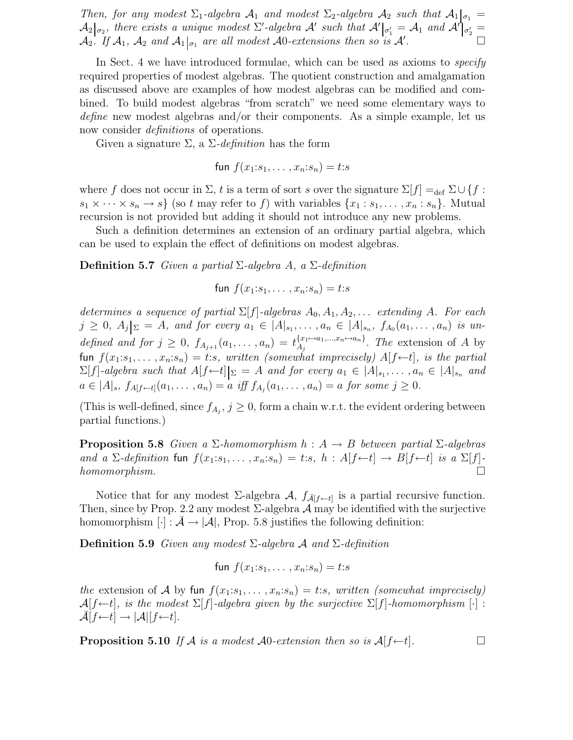Then, for any modest  $\Sigma_1$ -algebra  $\mathcal{A}_1$  and modest  $\Sigma_2$ -algebra  $\mathcal{A}_2$  such that  $\mathcal{A}_1|_{\sigma_1} =$  $\mathcal{A}_2|_{\sigma_2}$ , there exists a unique modest  $\Sigma'$ -algebra  $\mathcal{A}'$  such that  $\mathcal{A}'|_{\sigma'_1} = \mathcal{A}_1$  and  $\mathcal{A}'|_{\sigma'_2} = \mathcal{A}_2$  $\mathcal{A}_2$ . If  $\mathcal{A}_1$ ,  $\mathcal{A}_2$  and  $\mathcal{A}_1|_{\sigma_1}$  are all modest  $\mathcal{A}0$ -extensions then so is  $\mathcal{A}'$ . .

In Sect. 4 we have introduced formulae, which can be used as axioms to *specify* required properties of modest algebras. The quotient construction and amalgamation as discussed above are examples of how modest algebras can be modified and combined. To build modest algebras "from scratch" we need some elementary ways to define new modest algebras and/or their components. As a simple example, let us now consider *definitions* of operations.

Given a signature  $\Sigma$ , a  $\Sigma$ -definition has the form

fun  $f(x_1:s_1,\ldots,x_n:s_n)=t:s$ 

where f does not occur in  $\Sigma$ , t is a term of sort s over the signature  $\Sigma[f] = \det \Sigma \cup \{f : f\}$  $s_1 \times \cdots \times s_n \to s$  (so t may refer to f) with variables  $\{x_1 : s_1, \ldots, x_n : s_n\}$ . Mutual recursion is not provided but adding it should not introduce any new problems.

Such a definition determines an extension of an ordinary partial algebra, which can be used to explain the effect of definitions on modest algebras.

**Definition 5.7** Given a partial  $\Sigma$ -algebra A, a  $\Sigma$ -definition

$$
\text{fun } f(x_1:s_1,\ldots,x_n:s_n)=t:s
$$

determines a sequence of partial  $\Sigma[f]$ -algebras  $A_0, A_1, A_2, \ldots$  extending A. For each  $j \geq 0, A_j | \Sigma = A$ , and for every  $a_1 \in |A|_{s_1}, \ldots, a_n \in |A|_{s_n}, f_{A_0}(a_1, \ldots, a_n)$  is undefined and for  $j \geq 0$ ,  $f_{A_{j+1}}(a_1,\ldots,a_n) = t_{A_j}^{\{x_1,\ldots,x_n\}\ldots,x_n}$ . The extension of A by fun  $f(x_1:s_1,\ldots,x_n:s_n) = t:s$ , written (somewhat imprecisely)  $A[f\leftarrow t]$ , is the partial  $\Sigma[f]$ -algebra such that  $A[f\leftarrow t]_{\Sigma} = A$  and for every  $a_1 \in |A|_{s_1}, \ldots, a_n \in |A|_{s_n}$  and  $a \in |A|_s, f_{A[f \leftarrow t]}(a_1, \ldots, a_n) = a \text{ iff } f_{A_j}(a_1, \ldots, a_n) = a \text{ for some } j \ge 0.$ 

(This is well-defined, since  $f_{A_j}$ ,  $j \geq 0$ , form a chain w.r.t. the evident ordering between partial functions.)

**Proposition 5.8** Given a  $\Sigma$ -homomorphism  $h : A \rightarrow B$  between partial  $\Sigma$ -algebras and a  $\Sigma$ -definition fun  $f(x_1:s_1,\ldots,x_n:s_n) = t:s, h : A[f \leftarrow t] \rightarrow B[f \leftarrow t]$  is a  $\Sigma[f]$  $homomorphism.$ 

Notice that for any modest  $\Sigma$ -algebra  $\mathcal{A}$ ,  $f_{\bar{\mathcal{A}}[f\leftarrow f]}$  is a partial recursive function. Then, since by Prop. 2.2 any modest  $\Sigma$ -algebra  $\mathcal A$  may be identified with the surjective homomorphism  $[\cdot] : \overline{\mathcal{A}} \to |\mathcal{A}|$ , Prop. 5.8 justifies the following definition:

**Definition 5.9** Given any modest  $\Sigma$ -algebra A and  $\Sigma$ -definition

$$
\text{fun } f(x_1:s_1,\ldots,x_n:s_n)=t:s
$$

the extension of A by fun  $f(x_1:s_1,\ldots,x_n:s_n) = t:s$ , written (somewhat imprecisely)  $\mathcal{A}[f\leftarrow t]$ , is the modest  $\Sigma[f]$ -algebra given by the surjective  $\Sigma[f]$ -homomorphism  $[\cdot]$ :  $\mathcal{A}[f \leftarrow t] \rightarrow |\mathcal{A}|[f \leftarrow t].$ 

**Proposition 5.10** If A is a modest A0-extension then so is  $A[f\leftarrow t]$ .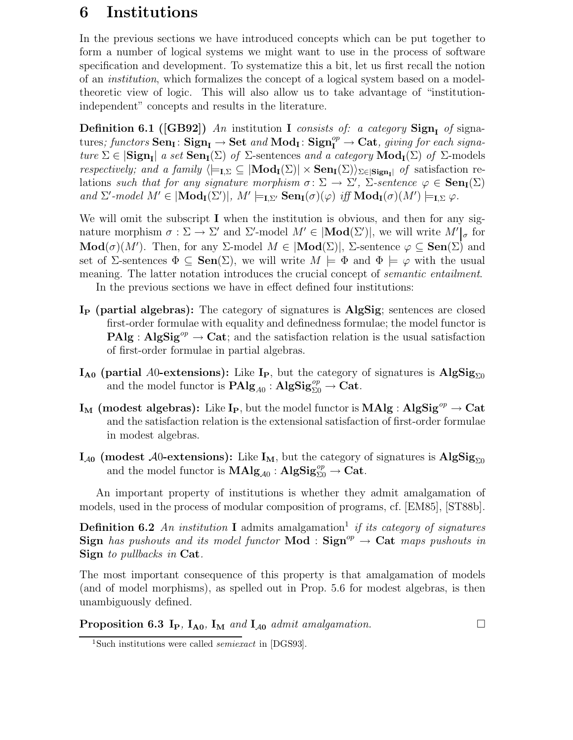# **6 Institutions**

In the previous sections we have introduced concepts which can be put together to form a number of logical systems we might want to use in the process of software specification and development. To systematize this a bit, let us first recall the notion of an institution, which formalizes the concept of a logical system based on a modeltheoretic view of logic. This will also allow us to take advantage of "institutionindependent" concepts and results in the literature.

**Definition 6.1 ([GB92])** An institution **I** consists of: a category  $\text{Sign}_{\text{I}}$  of signa- $\textrm{turners:}~functors~\mathbf{Sen}_{\mathbf{I}}\colon \mathbf{Sign}_{\mathbf{I}}\to \mathbf{Set}~\textrm{ and~}\mathbf{Mod}_{\mathbf{I}}\colon \mathbf{Sign}_{\mathbf{I}}^{op}\to \mathbf{Cat},~giving~for~each~signa$ ture  $\Sigma \in |\textbf{Sign}_{\text{I}}|$  a set  $\textbf{Sen}_{\text{I}}(\Sigma)$  of  $\Sigma$ -sentences and a category  $\textbf{Mod}_{\text{I}}(\Sigma)$  of  $\Sigma$ -models respectively; and a family  $\langle \models_{\mathbf{I},\Sigma} \subseteq |\mathbf{Mod}_{\mathbf{I}}(\Sigma)| \times \mathbf{Sen}_{\mathbf{I}}(\Sigma) \rangle_{\Sigma \in |\mathbf{Sign}_{\mathbf{I}}|}$  of satisfaction relations such that for any signature morphism  $\sigma : \Sigma \to \Sigma'$ ,  $\Sigma$ -sentence  $\varphi \in \mathbf{Sen}_{\mathbf{I}}(\Sigma)$ and  $\Sigma'$ -model  $M' \in |\mathbf{Mod}_{\mathbf{I}}(\Sigma')|$ ,  $M' \models_{\mathbf{I},\Sigma'} \mathbf{Sen}_{\mathbf{I}}(\sigma)(\varphi)$  iff  $\mathbf{Mod}_{\mathbf{I}}(\sigma)(M') \models_{\mathbf{I},\Sigma} \varphi$ .

We will omit the subscript **I** when the institution is obvious, and then for any signature morphism  $\sigma : \Sigma \to \Sigma'$  and  $\Sigma'$ -model  $M' \in |Mod(\Sigma')|$ , we will write  $M'|_{\sigma}$  for **Mod** $(\sigma)(M')$ . Then, for any  $\Sigma$ -model  $M \in |\textbf{Mod}(\Sigma)|$ ,  $\Sigma$ -sentence  $\varphi \subseteq \textbf{Sen}(\Sigma)$  and set of  $\Sigma$ -sentences  $\Phi \subseteq \textbf{Sen}(\Sigma)$ , we will write  $M \models \Phi$  and  $\Phi \models \varphi$  with the usual meaning. The latter notation introduces the crucial concept of *semantic entailment*. In the previous sections we have in effect defined four institutions:

- **I<sup>P</sup> (partial algebras):** The category of signatures is **AlgSig**; sentences are closed first-order formulae with equality and definedness formulae; the model functor is **PAlg** :  $\mathbf{AlgSig}^{op} \to \mathbf{Cat}$ ; and the satisfaction relation is the usual satisfaction of first-order formulae in partial algebras.
- $I_{A0}$  (partial A0-extensions): Like  $I_P$ , but the category of signatures is  $\text{AlgSig}_{\Sigma_0}$ and the model functor is  $\textbf{PAlg}_{A0} : \textbf{AlgSig}_{\Sigma 0}^{op} \to \textbf{Cat}.$
- $I_M$  (modest algebras): Like  $I_P$ , but the model functor is  $MAlg : AlgSig^{op} \to Cat$ and the satisfaction relation is the extensional satisfaction of first-order formulae in modest algebras.
- **I**<sub>A0</sub> (modest  $\mathcal{A}0$ -extensions): Like  $I_M$ , but the category of signatures is  $\mathbf{AlgSig}_{\Sigma 0}$ and the model functor is  $\textbf{MAlg}_{A0} : \textbf{AlgSig}_{\Sigma 0}^{op} \to \textbf{Cat}.$

An important property of institutions is whether they admit amalgamation of models, used in the process of modular composition of programs, cf. [EM85], [ST88b].

**Definition 6.2** An institution **I** admits amalgamation<sup>1</sup> if its category of signatures **Sign** has pushouts and its model functor **Mod** :  $\text{Sign}^{op} \rightarrow \text{Cat}$  maps pushouts in **Sign** to pullbacks in **Cat**.

The most important consequence of this property is that amalgamation of models (and of model morphisms), as spelled out in Prop. 5.6 for modest algebras, is then unambiguously defined.

**Proposition 6.3** I<sub>P</sub>,  $I_{A0}$ , I<sub>M</sub> and  $I_{A0}$  admit amalgamation.

<sup>1</sup>Such institutions were called semiexact in [DGS93].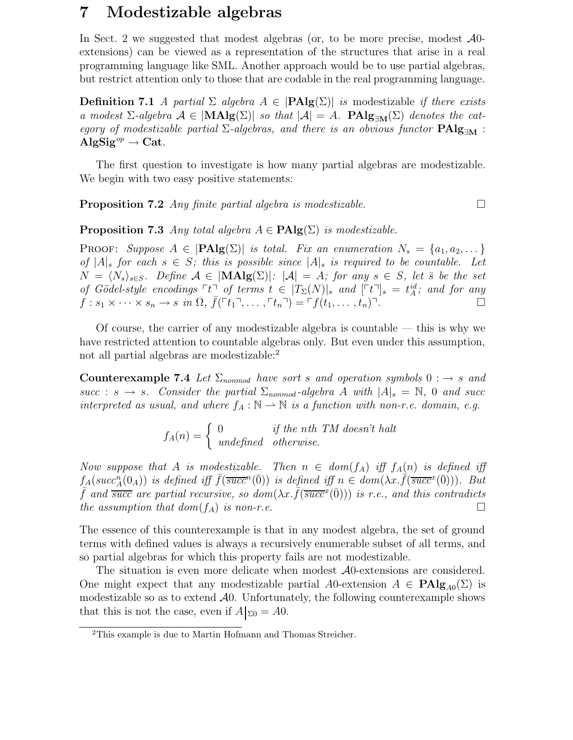# **7 Modestizable algebras**

In Sect. 2 we suggested that modest algebras (or, to be more precise, modest  $\mathcal{A}0$ extensions) can be viewed as a representation of the structures that arise in a real programming language like SML. Another approach would be to use partial algebras, but restrict attention only to those that are codable in the real programming language.

**Definition 7.1** A partial  $\Sigma$  algebra  $A \in \mathbf{PAlg}(\Sigma)$  is modestizable if there exists a modest  $\Sigma$ -algebra  $\mathcal{A} \in |MAlg(\Sigma)|$  so that  $|\mathcal{A}| = A$ . **PAlg**<sub> $\exists M$ </sub>( $\Sigma$ ) denotes the category of modestizable partial  $\Sigma$ -algebras, and there is an obvious functor  $\text{PAlg}_{\exists M}$ :  $\text{AlgSig}^{op} \to \text{Cat}.$ 

The first question to investigate is how many partial algebras are modestizable. We begin with two easy positive statements:

**Proposition 7.2** Any finite partial algebra is modestizable.  $\Box$ 

**Proposition 7.3** Any total algebra  $A \in \textbf{PAlg}(\Sigma)$  is modestizable.

**PROOF:** Suppose  $A \in \textbf{PAlg}(\Sigma)$  is total. Fix an enumeration  $N_s = \{a_1, a_2, \dots\}$ of  $|A|_s$  for each  $s \in S$ ; this is possible since  $|A|_s$  is required to be countable. Let  $N = \langle N_s \rangle_{s \in S}$ . Define  $\mathcal{A} \in |MAlg(\Sigma)|$ :  $|\mathcal{A}| = A$ ; for any  $s \in S$ , let  $\overline{s}$  be the set of Gödel-style encodings  $\ulcorner t \urcorner$  of terms  $t \in |T_{\Sigma}(N)|$ , and  $[\ulcorner t \urcorner]_s = t^{id}_A$ ; and for any  $f: s_1 \times \cdots \times s_n \to s \text{ in } \Omega, \bar{f}(\ulcorner t_1 \urcorner, \ldots, \ulcorner t_n \urcorner) = \ulcorner f(t_1, \ldots, t_n) \urcorner.$ 

Of course, the carrier of any modestizable algebra is countable — this is why we have restricted attention to countable algebras only. But even under this assumption, not all partial algebras are modestizable:<sup>2</sup>

**Counterexample 7.4** Let  $\Sigma_{nonmod}$  have sort s and operation symbols  $0 : \rightarrow s$  and succ : s  $\rightarrow$  s. Consider the partial  $\Sigma_{\text{nonmod}}$ -algebra A with  $|A|_s = \mathbb{N}$ , 0 and succ interpreted as usual, and where  $f_A : \mathbb{N} \to \mathbb{N}$  is a function with non-r.e. domain, e.g.

$$
f_A(n) = \begin{cases} 0 & if the nth TM doesn't halt \\ undefined & otherwise. \end{cases}
$$

Now suppose that A is modestizable. Then  $n \in dom(f_A)$  iff  $f_A(n)$  is defined iff  $f_A(succ_A^{\overline{n}}(0_A))$  is defined iff  $\overline{f}(\overline{succ}^n(\overline{0}))$  is defined iff  $n \in dom(\lambda x.\overline{f}(\overline{succ}^x(\overline{0})))$ . But  $\overline{f}$  and  $\overline{succ}$  are partial recursive, so dom $(\lambda x.\overline{f}(\overline{succ}^x(\overline{0})))$  is r.e., and this contradicts the assumption that  $dom(f_A)$  is non-r.e.

The essence of this counterexample is that in any modest algebra, the set of ground terms with defined values is always a recursively enumerable subset of all terms, and so partial algebras for which this property fails are not modestizable.

The situation is even more delicate when modest A0-extensions are considered. One might expect that any modestizable partial A0-extension  $A \in \textbf{PAlg}_{A_0}(\Sigma)$  is modestizable so as to extend  $\mathcal{A}0$ . Unfortunately, the following counterexample shows that this is not the case, even if  $A|_{\Sigma_0} = A0$ .

<sup>2</sup>This example is due to Martin Hofmann and Thomas Streicher.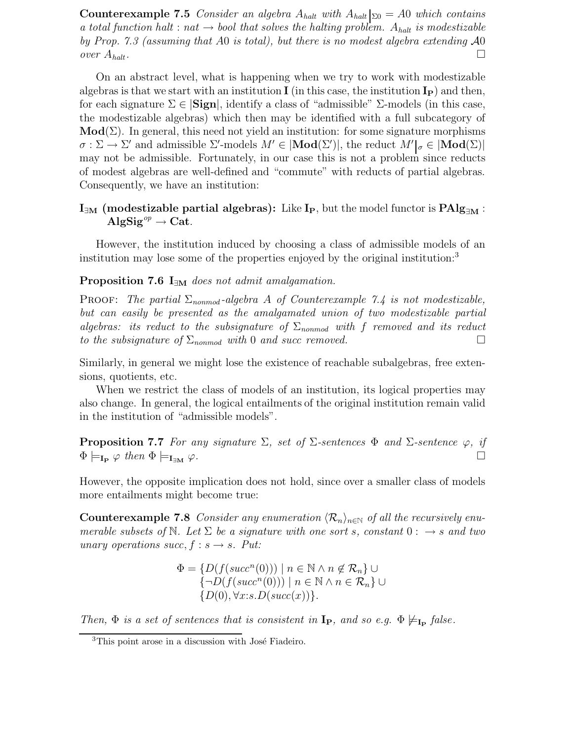**Counterexample 7.5** Consider an algebra  $A_{halt}$  with  $A_{halt} |_{\Sigma 0} = A0$  which contains a total function halt : nat  $\rightarrow$  bool that solves the halting problem.  $A_{halt}$  is modestizable by Prop. 7.3 (assuming that A0 is total), but there is no modest algebra extending A0 over  $A_{halt}$ .

On an abstract level, what is happening when we try to work with modestizable algebras is that we start with an institution **I** (in this case, the institution **IP**) and then, for each signature Σ ∈ |**Sign**|, identify a class of "admissible" Σ-models (in this case, the modestizable algebras) which then may be identified with a full subcategory of **Mod**( $\Sigma$ ). In general, this need not yield an institution: for some signature morphisms  $\sigma : \Sigma \to \Sigma'$  and admissible  $\Sigma'$ -models  $M' \in |Mod(\Sigma')|$ , the reduct  $M' |_{\sigma} \in |Mod(\Sigma)|$ may not be admissible. Fortunately, in our case this is not a problem since reducts of modest algebras are well-defined and "commute" with reducts of partial algebras. Consequently, we have an institution:

 $\mathbf{I}_{\exists \mathbf{M}}$  (modestizable partial algebras): Like  $\mathbf{I}_{\mathbf{P}}$ , but the model functor is  $\mathbf{PAlg}_{\exists \mathbf{M}}$ :  $\text{AlgSig}^{op} \to \text{Cat}.$ 

However, the institution induced by choosing a class of admissible models of an institution may lose some of the properties enjoyed by the original institution:<sup>3</sup>

#### **Proposition 7.6 I**∃**<sup>M</sup>** does not admit amalgamation.

**PROOF:** The partial  $\Sigma_{\text{nomnod}}$ -algebra A of Counterexample 7.4 is not modestizable, but can easily be presented as the amalgamated union of two modestizable partial algebras: its reduct to the subsignature of  $\Sigma_{nomod}$  with f removed and its reduct to the subsignature of  $\Sigma_{nomod}$  with 0 and succ removed.

Similarly, in general we might lose the existence of reachable subalgebras, free extensions, quotients, etc.

When we restrict the class of models of an institution, its logical properties may also change. In general, the logical entailments of the original institution remain valid in the institution of "admissible models".

**Proposition 7.7** For any signature  $\Sigma$ , set of  $\Sigma$ -sentences  $\Phi$  and  $\Sigma$ -sentence  $\varphi$ , if  $\Phi \models_{\mathbf{I_P}} \varphi \text{ then } \Phi \models_{\mathbf{I_{\exists M}}} \varphi.$ 

However, the opposite implication does not hold, since over a smaller class of models more entailments might become true:

**Counterexample 7.8** Consider any enumeration  $\langle \mathcal{R}_n \rangle_{n \in \mathbb{N}}$  of all the recursively enumerable subsets of N. Let  $\Sigma$  be a signature with one sort s, constant  $0: \rightarrow s$  and two unary operations succ,  $f : s \rightarrow s$ . Put:

$$
\Phi = \{ D(f(succ^n(0))) \mid n \in \mathbb{N} \land n \notin \mathcal{R}_n \} \cup \n\{\neg D(f(succ^n(0))) \mid n \in \mathbb{N} \land n \in \mathcal{R}_n \} \cup \n\{D(0), \forall x:s.D(succ(x))\}.
$$

Then,  $\Phi$  is a set of sentences that is consistent in  $\mathbf{I}_{\mathbf{P}}$ , and so e.g.  $\Phi \not\models_{\mathbf{I}_{\mathbf{P}}}$  false.

 ${}^{3}$ This point arose in a discussion with José Fiadeiro.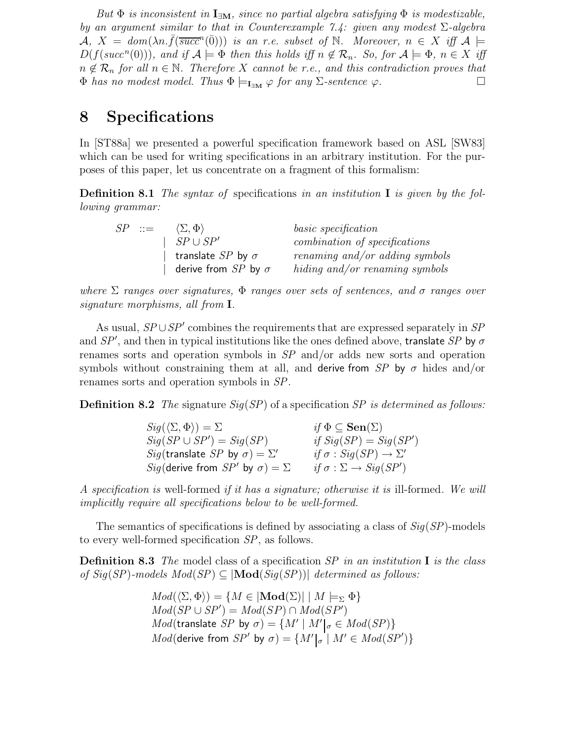But  $\Phi$  is inconsistent in  $\mathbf{I}_{\exists M}$ , since no partial algebra satisfying  $\Phi$  is modestizable, by an argument similar to that in Counterexample 7.4: given any modest  $\Sigma$ -algebra  $\mathcal{A}, X = dom(\lambda n. \overline{f(\overline{succ}^n(\overline{0})))}$  is an r.e. subset of N. Moreover,  $n \in X$  iff  $\mathcal{A} \models$  $D(f(succ^n(0)))$ , and if  $\mathcal{A} \models \Phi$  then this holds iff  $n \notin \mathcal{R}_n$ . So, for  $\mathcal{A} \models \Phi$ ,  $n \in X$  iff  $n \notin \mathcal{R}_n$  for all  $n \in \mathbb{N}$ . Therefore X cannot be r.e., and this contradiction proves that  $\Phi$  has no modest model. Thus  $\Phi \models_{\mathbf{I}_{\exists M}} \varphi$  for any  $\Sigma$ -sentence  $\varphi$ .

# **8 Specifications**

In [ST88a] we presented a powerful specification framework based on ASL [SW83] which can be used for writing specifications in an arbitrary institution. For the purposes of this paper, let us concentrate on a fragment of this formalism:

**Definition 8.1** The syntax of specifications in an institution **I** is given by the following grammar:

| $SP$ ::= | $\langle \Sigma, \Phi \rangle$ | <i>basic specification</i>     |
|----------|--------------------------------|--------------------------------|
|          | $SP \cup SP'$                  | combination of specifications  |
|          | translate $SP$ by $\sigma$     | renaming and/or adding symbols |
|          | derive from $SP$ by $\sigma$   | hiding and/or renaming symbols |

where  $\Sigma$  ranges over signatures,  $\Phi$  ranges over sets of sentences, and  $\sigma$  ranges over signature morphisms, all from **I**.

As usual,  $SP \cup SP'$  combines the requirements that are expressed separately in  $SP$ and  $SP'$ , and then in typical institutions like the ones defined above, translate SP by  $\sigma$ renames sorts and operation symbols in SP and/or adds new sorts and operation symbols without constraining them at all, and derive from  $SP$  by  $\sigma$  hides and/or renames sorts and operation symbols in SP.

**Definition 8.2** The signature  $Sig(SP)$  of a specification SP is determined as follows:

| $Sig(\langle \Sigma, \Phi \rangle) = \Sigma$      | if $\Phi \subseteq \mathbf{Sen}(\Sigma)$      |
|---------------------------------------------------|-----------------------------------------------|
| $Sig(SP \cup SP') = Sig(SP)$                      | if $Sig(SP) = Sig(SP')$                       |
| $Sig$ (translate $SP$ by $\sigma$ ) = $\Sigma'$   | if $\sigma : Sig(SP) \rightarrow \Sigma'$     |
| $Sig$ (derive from $SP'$ by $\sigma$ ) = $\Sigma$ | if $\sigma : \Sigma \longrightarrow Sig(SP')$ |

A specification is well-formed if it has a signature; otherwise it is ill-formed. We will implicitly require all specifications below to be well-formed.

The semantics of specifications is defined by associating a class of  $Sig(SP)$ -models to every well-formed specification SP, as follows.

**Definition 8.3** The model class of a specification SP in an institution **I** is the class of  $Sig(SP)$ -models  $Mod(SP) ⊆ |Mod(Sig(SP))|$  determined as follows:

*Mod*(
$$
\langle \Sigma, \Phi \rangle
$$
) = {*M* ∈ |**Mod**( $\Sigma$ )| | *M* |= $\Sigma$  Φ}  
\n*Mod*(*SP* ∪ *SP'*) = *Mod*(*SP*) ∩ *Mod*(*SP'*)  
\n*Mod*(**translate** *SP* by  $\sigma$ ) = {*M'* | *M'*|<sub>σ</sub> ∈ *Mod*(*SP*)}  
\n*Mod*(**derive from** *SP'* by  $\sigma$ ) = {*M'*|<sub>σ</sub> | *M'* ∈ *Mod*(*SP'*)}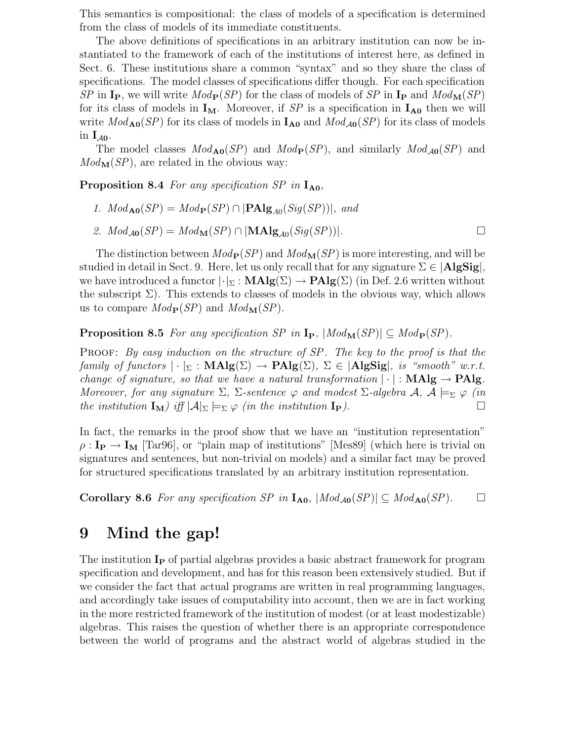This semantics is compositional: the class of models of a specification is determined from the class of models of its immediate constituents.

The above definitions of specifications in an arbitrary institution can now be instantiated to the framework of each of the institutions of interest here, as defined in Sect. 6. These institutions share a common "syntax" and so they share the class of specifications. The model classes of specifications differ though. For each specification SP in  $\mathbf{I}_P$ , we will write  $Mod_{\mathbf{P}}(SP)$  for the class of models of SP in  $\mathbf{I}_P$  and  $Mod_{\mathbf{M}}(SP)$ for its class of models in  $I_M$ . Moreover, if SP is a specification in  $I_{A0}$  then we will write  $Mod_{\mathbf{A0}}(SP)$  for its class of models in  $\mathbf{I}_{\mathbf{A0}}$  and  $Mod_{\mathcal{A0}}(SP)$  for its class of models in  $I_{A0}$ .

The model classes  $Mod_{\mathbf{A0}}(SP)$  and  $Mod_{\mathbf{P}}(SP)$ , and similarly  $Mod_{\mathbf{A0}}(SP)$  and  $Mod_{\mathbf{M}}(SP)$ , are related in the obvious way:

**Proposition 8.4** For any specification SP in **IA0**,

- 1.  $Mod_{\mathbf{A0}}(SP) = Mod_{\mathbf{P}}(SP) \cap |\mathbf{PAlg}_{A0}(Sig(SP))|$ , and
- 2.  $Mod_{A0}(SP) = Mod_{\mathbf{M}}(SP) \cap |\mathbf{MAlg}_{A0}(Sig(SP))|$ .

The distinction between  $Mod_{\mathbf{P}}(SP)$  and  $Mod_{\mathbf{M}}(SP)$  is more interesting, and will be studied in detail in Sect. 9. Here, let us only recall that for any signature  $\Sigma \in |{\bf AlgSig}|$ , we have introduced a functor  $|\cdot|_{\Sigma} : \mathbf{MAlg}(\Sigma) \to \mathbf{PAlg}(\Sigma)$  (in Def. 2.6 written without the subscript  $\Sigma$ ). This extends to classes of models in the obvious way, which allows us to compare  $Mod_{\mathbf{P}}(SP)$  and  $Mod_{\mathbf{M}}(SP)$ .

**Proposition 8.5** For any specification SP in  $I_P$ ,  $|Mod_{\mathbf{M}}(SP)| \subseteq Mod_{\mathbf{P}}(SP)$ .

PROOF: By easy induction on the structure of SP. The key to the proof is that the family of functors  $|\cdot|_{\Sigma} : \mathbf{MAlg}(\Sigma) \to \mathbf{PAlg}(\Sigma)$ ,  $\Sigma \in |\mathbf{AlgSig}|$ , is "smooth" w.r.t. change of signature, so that we have a natural transformation  $|\cdot|$ : **MAlg**  $\rightarrow$  **PAlg**. Moreover, for any signature  $\Sigma$ ,  $\Sigma$ -sentence  $\varphi$  and modest  $\Sigma$ -algebra  $\mathcal{A}, \mathcal{A} \models_{\Sigma} \varphi$  (in the institution  $\mathbf{I}_M$ ) iff  $|\mathcal{A}|_{\Sigma} \models_{\Sigma} \varphi$  (in the institution  $\mathbf{I}_P$ ).

In fact, the remarks in the proof show that we have an "institution representation"  $\rho$ :  $I_P \rightarrow I_M$  [Tar96], or "plain map of institutions" [Mes89] (which here is trivial on signatures and sentences, but non-trivial on models) and a similar fact may be proved for structured specifications translated by an arbitrary institution representation.

**Corollary 8.6** For any specification SP in  $I_{A0}$ ,  $|Mod_{A0}(SP)| ⊆ Mod_{A0}(SP)$ . □

# **9 Mind the gap!**

The institution **I<sup>P</sup>** of partial algebras provides a basic abstract framework for program specification and development, and has for this reason been extensively studied. But if we consider the fact that actual programs are written in real programming languages, and accordingly take issues of computability into account, then we are in fact working in the more restricted framework of the institution of modest (or at least modestizable) algebras. This raises the question of whether there is an appropriate correspondence between the world of programs and the abstract world of algebras studied in the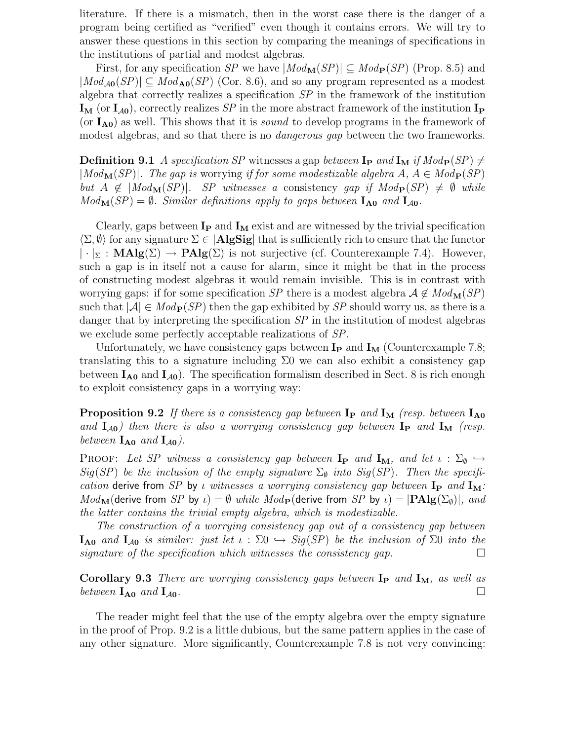literature. If there is a mismatch, then in the worst case there is the danger of a program being certified as "verified" even though it contains errors. We will try to answer these questions in this section by comparing the meanings of specifications in the institutions of partial and modest algebras.

First, for any specification SP we have  $|Mod_{\mathbf{M}}(SP)| \subseteq Mod_{\mathbf{P}}(SP)$  (Prop. 8.5) and  $|Mod_{A0}(SP)| \subseteq Mod_{A0}(SP)$  (Cor. 8.6), and so any program represented as a modest algebra that correctly realizes a specification  $SP$  in the framework of the institution  $\mathbf{I}_{\mathbf{M}}$  (or  $\mathbf{I}_{\mathcal{A}\mathbf{0}}$ ), correctly realizes SP in the more abstract framework of the institution  $\mathbf{I}_{\mathbf{P}}$ (or **IA0**) as well. This shows that it is sound to develop programs in the framework of modest algebras, and so that there is no dangerous gap between the two frameworks.

**Definition 9.1** A specification SP witnesses a gap between  $\mathbf{I}_P$  and  $\mathbf{I}_M$  if  $Mod_P(SP) \neq$  $|Mod_{\mathbf{M}}(SP)|$ . The gap is worrying if for some modestizable algebra  $A, A \in Mod_{\mathbf{P}}(SP)$ but  $A \notin |Mod_{\mathbf{M}}(SP)|$ . SP witnesses a consistency gap if  $Mod_{\mathbf{P}}(SP) \neq \emptyset$  while  $Mod_{\mathbf{M}}(SP) = \emptyset$ . Similar definitions apply to gaps between  $\mathbf{I}_{\mathbf{A0}}$  and  $\mathbf{I}_{\mathcal{A0}}$ .

Clearly, gaps between  $I_P$  and  $I_M$  exist and are witnessed by the trivial specification  $\langle \Sigma, \emptyset \rangle$  for any signature  $\Sigma \in |{\bf AlgSig}|$  that is sufficiently rich to ensure that the functor  $|\cdot|_{\Sigma}$ : **MAlg**( $\Sigma$ )  $\rightarrow$  **PAlg**( $\Sigma$ ) is not surjective (cf. Counterexample 7.4). However, such a gap is in itself not a cause for alarm, since it might be that in the process of constructing modest algebras it would remain invisible. This is in contrast with worrying gaps: if for some specification SP there is a modest algebra  $A \notin Mod_{\mathbf{M}}(SP)$ such that  $|\mathcal{A}| \in Mod_{\mathbf{P}}(SP)$  then the gap exhibited by SP should worry us, as there is a danger that by interpreting the specification SP in the institution of modest algebras we exclude some perfectly acceptable realizations of SP.

Unfortunately, we have consistency gaps between  $I_P$  and  $I_M$  (Counterexample 7.8; translating this to a signature including  $\Sigma 0$  we can also exhibit a consistency gap between  $I_{A0}$  and  $I_{A0}$ ). The specification formalism described in Sect. 8 is rich enough to exploit consistency gaps in a worrying way:

**Proposition 9.2** If there is a consistency gap between  $\mathbf{I}_P$  and  $\mathbf{I}_M$  (resp. between  $\mathbf{I}_{A0}$ and  $I_{A0}$ ) then there is also a worrying consistency gap between  $I_P$  and  $I_M$  (resp. between  $\mathbf{I}_{\mathbf{A0}}$  and  $\mathbf{I}_{\mathcal{A0}}$ ).

**PROOF:** Let SP witness a consistency gap between  $\mathbf{I}_P$  and  $\mathbf{I}_M$ , and let  $\iota : \Sigma_{\emptyset} \hookrightarrow$  $Sig(SP)$  be the inclusion of the empty signature  $\Sigma_{\emptyset}$  into  $Sig(SP)$ . Then the specification derive from SP by  $\iota$  witnesses a worrying consistency gap between  $\mathbf{I}_P$  and  $\mathbf{I}_M$ :  $Mod_{\mathbf{M}}$ (derive from SP by  $\iota$ ) =  $\emptyset$  while  $Mod_{\mathbf{P}}$ (derive from SP by  $\iota$ ) =  $|\mathbf{PAlg}(\Sigma_{\emptyset})|$ , and the latter contains the trivial empty algebra, which is modestizable.

The construction of a worrying consistency gap out of a consistency gap between  $I_{A0}$  and  $I_{A0}$  is similar: just let  $\iota : \Sigma 0 \hookrightarrow Sig(SP)$  be the inclusion of  $\Sigma 0$  into the signature of the specification which witnesses the consistency gap.  $\Box$ 

**Corollary 9.3** There are worrying consistency gaps between  $\mathbf{I}_P$  and  $\mathbf{I}_M$ , as well as between  $I_{A0}$  and  $I_{A0}$ .

The reader might feel that the use of the empty algebra over the empty signature in the proof of Prop. 9.2 is a little dubious, but the same pattern applies in the case of any other signature. More significantly, Counterexample 7.8 is not very convincing: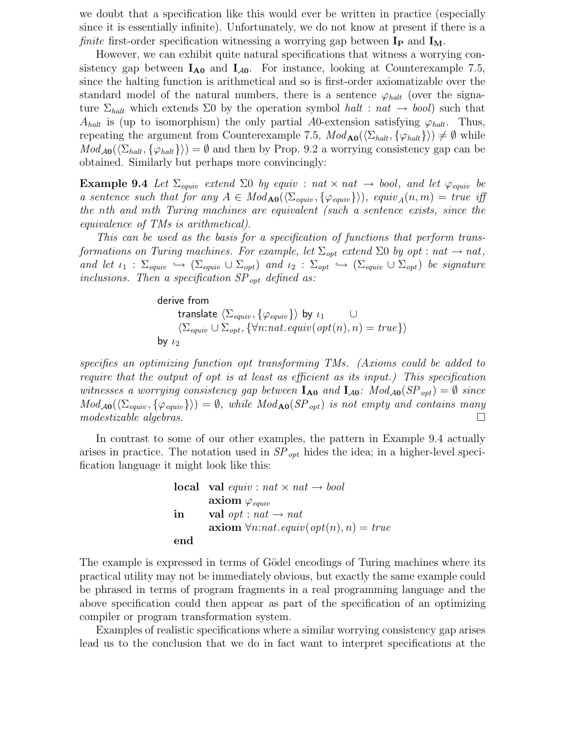we doubt that a specification like this would ever be written in practice (especially since it is essentially infinite). Unfortunately, we do not know at present if there is a *finite* first-order specification witnessing a worrying gap between  $I_P$  and  $I_M$ .

However, we can exhibit quite natural specifications that witness a worrying consistency gap between  $I_{A0}$  and  $I_{A0}$ . For instance, looking at Counterexample 7.5, since the halting function is arithmetical and so is first-order axiomatizable over the standard model of the natural numbers, there is a sentence  $\varphi_{halt}$  (over the signature  $\Sigma_{halt}$  which extends  $\Sigma 0$  by the operation symbol halt : nat  $\rightarrow$  bool) such that  $A_{halt}$  is (up to isomorphism) the only partial A0-extension satisfying  $\varphi_{halt}$ . Thus, repeating the argument from Counterexample 7.5,  $Mod_{\mathbf{A0}}(\langle \Sigma_{halt}, \{\varphi_{halt}\}) \rangle \neq \emptyset$  while  $Mod_{A_0}(\langle \Sigma_{halt}, \{\varphi_{halt}\}\rangle) = \emptyset$  and then by Prop. 9.2 a worrying consistency gap can be obtained. Similarly but perhaps more convincingly:

**Example 9.4** Let  $\Sigma_{equiv}$  extend  $\Sigma 0$  by equiv : nat  $\times$  nat  $\rightarrow$  bool, and let  $\varphi_{equiv}$  be a sentence such that for any  $A \in Mod_{\mathbf{A0}}(\langle \Sigma_{equiv}, \{\varphi_{equiv}\} \rangle)$ , equiv<sub>A</sub> $(n, m) = true$  iff the nth and mth Turing machines are equivalent (such a sentence exists, since the equivalence of TMs is arithmetical).

This can be used as the basis for a specification of functions that perform transformations on Turing machines. For example, let  $\Sigma_{opt}$  extend  $\Sigma 0$  by opt : nat  $\rightarrow$  nat, and let  $\iota_1 : \Sigma_{equiv} \hookrightarrow (\Sigma_{equiv} \cup \Sigma_{opt})$  and  $\iota_2 : \Sigma_{opt} \hookrightarrow (\Sigma_{equiv} \cup \Sigma_{opt})$  be signature inclusions. Then a specification  $SP_{opt}$  defined as:

$$
\begin{array}{ll}\n\text{derive from} \\
\text{ translate } \langle \Sigma_{equiv}, \{\varphi_{equiv}\} \rangle \text{ by } \iota_1 \qquad \cup \\
& \langle \Sigma_{equiv} \cup \Sigma_{opt}, \{\forall n: nat.\,equiv(\, opt(n), n) = \, true \} \rangle \\
\text{by } \iota_2\n\end{array}
$$

specifies an optimizing function opt transforming TMs. (Axioms could be added to require that the output of opt is at least as efficient as its input.) This specification witnesses a worrying consistency gap between  $I_{A0}$  and  $I_{A0}$ :  $Mod_{A0}(SP_{opt}) = \emptyset$  since  $Mod_{A_0}(\langle \Sigma_{equiv}, {\varphi}_{equiv} \rangle) = \emptyset$ , while  $Mod_{A_0}(SP_{opt})$  is not empty and contains many  $\Box$ modestizable algebras.

In contrast to some of our other examples, the pattern in Example 9.4 actually arises in practice. The notation used in  $SP<sub>opt</sub>$  hides the idea; in a higher-level specification language it might look like this:

| local | val                                              | equiv                   | : $nat \times nat \rightarrow bool$ |
|-------|--------------------------------------------------|-------------------------|-------------------------------------|
| axiom | $\varphi_{equiv}$                                |                         |                                     |
| in    | val opt                                          | : $nat \rightarrow nat$ |                                     |
| axiom | $\forall n$ : $nat$ .equiv( $opt(n), n$ ) = true |                         |                                     |
| end   |                                                  |                         |                                     |

The example is expressed in terms of Gödel encodings of Turing machines where its practical utility may not be immediately obvious, but exactly the same example could be phrased in terms of program fragments in a real programming language and the above specification could then appear as part of the specification of an optimizing compiler or program transformation system.

Examples of realistic specifications where a similar worrying consistency gap arises lead us to the conclusion that we do in fact want to interpret specifications at the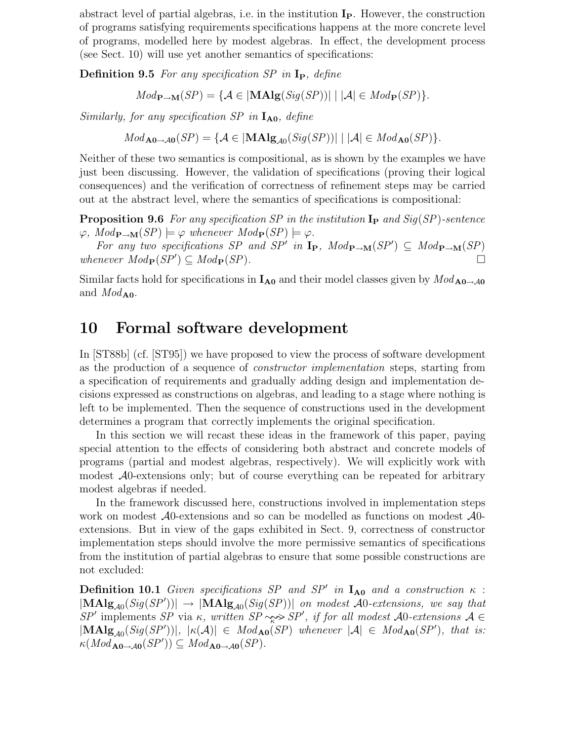abstract level of partial algebras, i.e. in the institution **IP**. However, the construction of programs satisfying requirements specifications happens at the more concrete level of programs, modelled here by modest algebras. In effect, the development process (see Sect. 10) will use yet another semantics of specifications:

**Definition 9.5** For any specification SP in **IP**, define

 $Mod_{\mathbf{P}\rightarrow\mathbf{M}}(SP) = \{ \mathcal{A} \in |\mathbf{MAlg}(Sig(SP))| \mid |\mathcal{A}| \in Mod_{\mathbf{P}}(SP) \}.$ 

Similarly, for any specification  $SP$  in  $I_{A0}$ , define

 $Mod_{\mathbf{A0}\rightarrow\mathcal{A0}}(SP) = \{ \mathcal{A} \in |\mathbf{MAlg}_{\mathcal{A0}}(Sig(SP))| \mid |\mathcal{A}| \in Mod_{\mathbf{A0}}(SP) \}.$ 

Neither of these two semantics is compositional, as is shown by the examples we have just been discussing. However, the validation of specifications (proving their logical consequences) and the verification of correctness of refinement steps may be carried out at the abstract level, where the semantics of specifications is compositional:

**Proposition 9.6** For any specification SP in the institution  $\mathbf{I}_{\mathbf{P}}$  and Sig(SP)-sentence  $\varphi$ ,  $Mod_{\mathbf{P}\rightarrow\mathbf{M}}(SP) \models \varphi$  whenever  $Mod_{\mathbf{P}}(SP) \models \varphi$ .

For any two specifications SP and SP' in  $\mathbf{I}_P$ ,  $Mod_{\mathbf{P}\rightarrow\mathbf{M}}(SP') \subseteq Mod_{\mathbf{P}\rightarrow\mathbf{M}}(SP)$ whenever  $Mod_{\mathbf{P}}(SP') \subseteq Mod_{\mathbf{P}}(SP)$ .

Similar facts hold for specifications in  $I_{A0}$  and their model classes given by  $Mod_{A0\rightarrow A0}$ and  $Mod_{\mathbf{A0}}$ .

### **10 Formal software development**

In [ST88b] (cf. [ST95]) we have proposed to view the process of software development as the production of a sequence of constructor implementation steps, starting from a specification of requirements and gradually adding design and implementation decisions expressed as constructions on algebras, and leading to a stage where nothing is left to be implemented. Then the sequence of constructions used in the development determines a program that correctly implements the original specification.

In this section we will recast these ideas in the framework of this paper, paying special attention to the effects of considering both abstract and concrete models of programs (partial and modest algebras, respectively). We will explicitly work with modest A0-extensions only; but of course everything can be repeated for arbitrary modest algebras if needed.

In the framework discussed here, constructions involved in implementation steps work on modest  $\mathcal{A}0$ -extensions and so can be modelled as functions on modest  $\mathcal{A}0$ extensions. But in view of the gaps exhibited in Sect. 9, correctness of constructor implementation steps should involve the more permissive semantics of specifications from the institution of partial algebras to ensure that some possible constructions are not excluded:

**Definition 10.1** Given specifications SP and SP<sup>'</sup> in  $I_{A0}$  and a construction  $\kappa$  :  $|\textbf{MAlg}_{\mathcal{A}0}(Sig(SP'))| \rightarrow |\textbf{MAlg}_{\mathcal{A}0}(Sig(SP))|$  on modest  $\mathcal{A}0$ -extensions, we say that SP' implements SP via κ, written SP  $\sim_{\kappa}$  > SP', if for all modest A0-extensions A ∈  $|\textbf{MAlg}_{\mathcal{A}0}(Sig(SP'))|, |\kappa(\mathcal{A})| \in Mod_{\textbf{A0}}(SP)$  whenever  $|\mathcal{A}| \in Mod_{\textbf{A0}}(SP')$ , that is:  $\kappa(Mod_{\mathbf{A0}\to\mathcal{A0}}(SP')) \subseteq Mod_{\mathbf{A0}\to\mathcal{A0}}(SP).$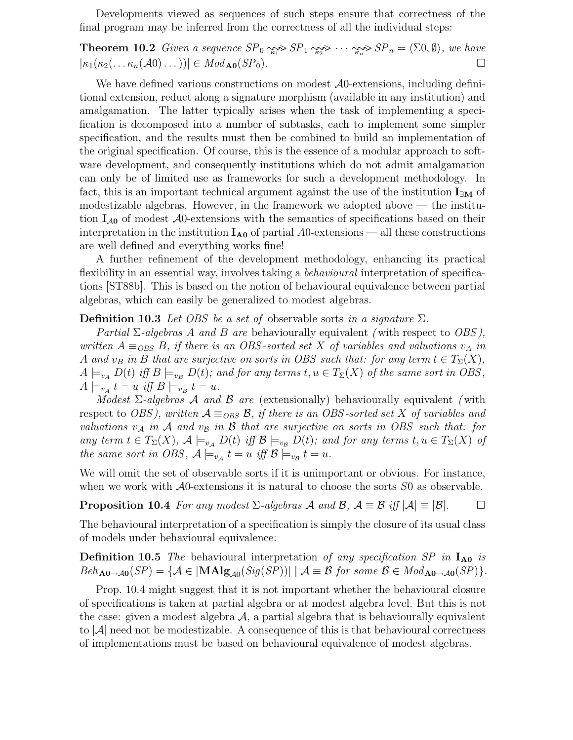Developments viewed as sequences of such steps ensure that correctness of the final program may be inferred from the correctness of all the individual steps:

**Theorem 10.2** Given a sequence  $SP_0 \sim_{\kappa_1} \gg SP_1 \sim_{\kappa_2} \sim \cdots \sim_{\kappa_n} \gg SP_n = \langle \Sigma 0, \emptyset \rangle$ , we have  $|\kappa_1(\kappa_2(\ldots \kappa_n(\mathcal{A}0)\ldots))| \in Mod_{\mathbf{A0}}(SP_0).$ 

We have defined various constructions on modest  $\mathcal{A}0$ -extensions, including definitional extension, reduct along a signature morphism (available in any institution) and amalgamation. The latter typically arises when the task of implementing a specification is decomposed into a number of subtasks, each to implement some simpler specification, and the results must then be combined to build an implementation of the original specification. Of course, this is the essence of a modular approach to software development, and consequently institutions which do not admit amalgamation can only be of limited use as frameworks for such a development methodology. In fact, this is an important technical argument against the use of the institution  $I_{\exists M}$  of modestizable algebras. However, in the framework we adopted above — the institution  $I_{A0}$  of modest  $A0$ -extensions with the semantics of specifications based on their interpretation in the institution  $I_{A0}$  of partial A0-extensions — all these constructions are well defined and everything works fine!

A further refinement of the development methodology, enhancing its practical flexibility in an essential way, involves taking a *behavioural* interpretation of specifications [ST88b]. This is based on the notion of behavioural equivalence between partial algebras, which can easily be generalized to modest algebras.

**Definition 10.3** Let OBS be a set of observable sorts in a signature  $\Sigma$ .

Partial  $\Sigma$ -algebras A and B are behaviourally equivalent (with respect to OBS), written  $A \equiv_{OBS} B$ , if there is an OBS-sorted set X of variables and valuations  $v_A$  in A and  $v_B$  in B that are surjective on sorts in OBS such that: for any term  $t \in T_{\Sigma}(X)$ ,  $A \models_{v_A} D(t)$  iff  $B \models_{v_B} D(t)$ ; and for any terms  $t, u \in T_{\Sigma}(X)$  of the same sort in OBS,  $A \models_{v_A} t = u \text{ iff } B \models_{v_B} t = u.$ 

Modest  $\Sigma$ -algebras A and B are (extensionally) behaviourally equivalent (with respect to OBS), written  $A \equiv_{OBS} B$ , if there is an OBS-sorted set X of variables and valuations  $v_A$  in A and  $v_B$  in B that are surjective on sorts in OBS such that: for any term  $t \in T_{\Sigma}(X)$ ,  $\mathcal{A} \models_{v_{\mathcal{A}}} D(t)$  iff  $\mathcal{B} \models_{v_{\mathcal{B}}} D(t)$ ; and for any terms  $t, u \in T_{\Sigma}(X)$  of the same sort in OBS,  $\mathcal{A} \models_{v_A} t = u$  iff  $\mathcal{B} \models_{v_B} t = u$ .

We will omit the set of observable sorts if it is unimportant or obvious. For instance, when we work with  $\mathcal{A}0$ -extensions it is natural to choose the sorts  $S_0$  as observable.

#### **Proposition 10.4** For any modest  $\Sigma$ -algebras A and B,  $A \equiv B$  iff  $|A| \equiv |B|$ .

The behavioural interpretation of a specification is simply the closure of its usual class of models under behavioural equivalence:

**Definition 10.5** The behavioural interpretation of any specification SP in  $I_{A0}$  is  $Beh_{\mathbf{A0}\rightarrow\mathbf{A0}}(SP) = \{A \in |\mathbf{MAlg}_{\mathbf{A0}}(Sig(SP))| \mid A \equiv \mathbf{\mathcal{B}} \text{ for some } \mathbf{\mathcal{B}} \in Mod_{\mathbf{A0}\rightarrow\mathbf{\mathcal{A0}}}(SP)\}.$ 

Prop. 10.4 might suggest that it is not important whether the behavioural closure of specifications is taken at partial algebra or at modest algebra level. But this is not the case: given a modest algebra  $A$ , a partial algebra that is behaviourally equivalent to  $|\mathcal{A}|$  need not be modestizable. A consequence of this is that behavioural correctness of implementations must be based on behavioural equivalence of modest algebras.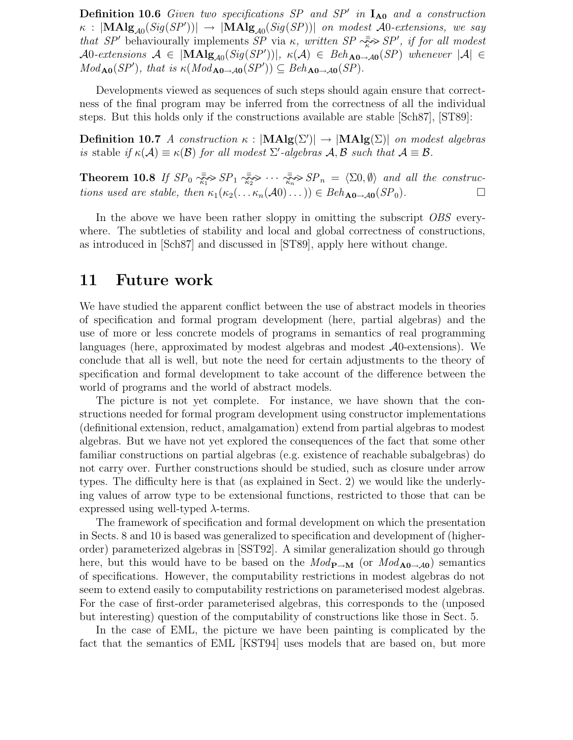**Definition 10.6** Given two specifications SP and SP' in  $I_{A0}$  and a construction  $\kappa$  :  $|\textbf{MAlg}_{\mathcal{A}0}(Sig(SP'))| \rightarrow |\textbf{MAlg}_{\mathcal{A}0}(Sig(SP))|$  on modest  $\mathcal{A}0$ -extensions, we say that SP' behaviourally implements SP via κ, written SP  $\sim_{\kappa}^{\equiv}$  > SP', if for all modest  $A0$ -extensions  $A \in |MAlg_{A0}(Sig(SP'))|, \ \kappa(A) \in Beh_{A0\rightarrow A0}(SP)$  whenever  $|A| \in$  $Mod_{\mathbf{A0}}(SP')$ , that is  $\kappa(Mod_{\mathbf{A0}\to\mathcal{A0}}(SP')) \subseteq Beh_{\mathbf{A0}\to\mathcal{A0}}(SP)$ .

Developments viewed as sequences of such steps should again ensure that correctness of the final program may be inferred from the correctness of all the individual steps. But this holds only if the constructions available are stable [Sch87], [ST89]:

**Definition 10.7** A construction  $\kappa : |MAlg(\Sigma')| \rightarrow |MAlg(\Sigma)|$  on modest algebras is stable if  $\kappa(\mathcal{A}) \equiv \kappa(\mathcal{B})$  for all modest  $\Sigma'$ -algebras  $\mathcal{A}, \mathcal{B}$  such that  $\mathcal{A} \equiv \mathcal{B}$ .

**Theorem 10.8** If  $SP_0 \xrightarrow[\kappa_1]{\equiv} SP_1 \xrightarrow[\kappa_2]{\equiv} \cdots \xrightarrow[\kappa_n]{\equiv} SP_n = \langle \Sigma 0, \emptyset \rangle$  and all the constructions used are stable, then  $\kappa_1(\kappa_2(\ldots \kappa_n(\mathcal{A}0)\ldots)) \in Beh_{\mathbf{A0}\to\mathcal{A0}}(SP_0).$ 

In the above we have been rather sloppy in omitting the subscript OBS everywhere. The subtleties of stability and local and global correctness of constructions, as introduced in [Sch87] and discussed in [ST89], apply here without change.

#### **11 Future work**

We have studied the apparent conflict between the use of abstract models in theories of specification and formal program development (here, partial algebras) and the use of more or less concrete models of programs in semantics of real programming languages (here, approximated by modest algebras and modest A0-extensions). We conclude that all is well, but note the need for certain adjustments to the theory of specification and formal development to take account of the difference between the world of programs and the world of abstract models.

The picture is not yet complete. For instance, we have shown that the constructions needed for formal program development using constructor implementations (definitional extension, reduct, amalgamation) extend from partial algebras to modest algebras. But we have not yet explored the consequences of the fact that some other familiar constructions on partial algebras (e.g. existence of reachable subalgebras) do not carry over. Further constructions should be studied, such as closure under arrow types. The difficulty here is that (as explained in Sect. 2) we would like the underlying values of arrow type to be extensional functions, restricted to those that can be expressed using well-typed  $\lambda$ -terms.

The framework of specification and formal development on which the presentation in Sects. 8 and 10 is based was generalized to specification and development of (higherorder) parameterized algebras in [SST92]. A similar generalization should go through here, but this would have to be based on the  $Mod_{\mathbf{P}\rightarrow\mathbf{M}}$  (or  $Mod_{\mathbf{A0}\rightarrow\mathbf{A0}}$ ) semantics of specifications. However, the computability restrictions in modest algebras do not seem to extend easily to computability restrictions on parameterised modest algebras. For the case of first-order parameterised algebras, this corresponds to the (unposed but interesting) question of the computability of constructions like those in Sect. 5.

In the case of EML, the picture we have been painting is complicated by the fact that the semantics of EML [KST94] uses models that are based on, but more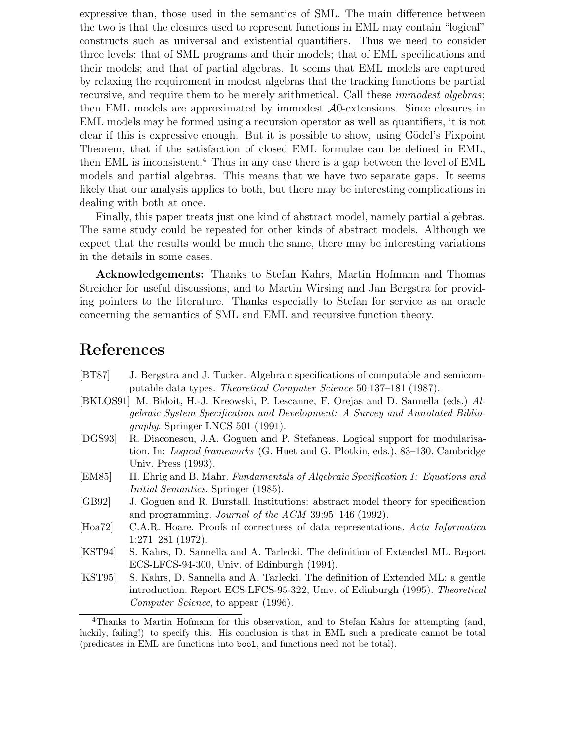expressive than, those used in the semantics of SML. The main difference between the two is that the closures used to represent functions in EML may contain "logical" constructs such as universal and existential quantifiers. Thus we need to consider three levels: that of SML programs and their models; that of EML specifications and their models; and that of partial algebras. It seems that EML models are captured by relaxing the requirement in modest algebras that the tracking functions be partial recursive, and require them to be merely arithmetical. Call these *immodest algebras*; then EML models are approximated by immodest A0-extensions. Since closures in EML models may be formed using a recursion operator as well as quantifiers, it is not clear if this is expressive enough. But it is possible to show, using Gödel's Fixpoint Theorem, that if the satisfaction of closed EML formulae can be defined in EML, then EML is inconsistent.<sup>4</sup> Thus in any case there is a gap between the level of EML models and partial algebras. This means that we have two separate gaps. It seems likely that our analysis applies to both, but there may be interesting complications in dealing with both at once.

Finally, this paper treats just one kind of abstract model, namely partial algebras. The same study could be repeated for other kinds of abstract models. Although we expect that the results would be much the same, there may be interesting variations in the details in some cases.

**Acknowledgements:** Thanks to Stefan Kahrs, Martin Hofmann and Thomas Streicher for useful discussions, and to Martin Wirsing and Jan Bergstra for providing pointers to the literature. Thanks especially to Stefan for service as an oracle concerning the semantics of SML and EML and recursive function theory.

# **References**

- [BT87] J. Bergstra and J. Tucker. Algebraic specifications of computable and semicomputable data types. Theoretical Computer Science 50:137–181 (1987).
- [BKLOS91] M. Bidoit, H.-J. Kreowski, P. Lescanne, F. Orejas and D. Sannella (eds.) Algebraic System Specification and Development: A Survey and Annotated Bibliography. Springer LNCS 501 (1991).
- [DGS93] R. Diaconescu, J.A. Goguen and P. Stefaneas. Logical support for modularisation. In: Logical frameworks (G. Huet and G. Plotkin, eds.), 83–130. Cambridge Univ. Press (1993).
- [EM85] H. Ehrig and B. Mahr. Fundamentals of Algebraic Specification 1: Equations and Initial Semantics. Springer (1985).
- [GB92] J. Goguen and R. Burstall. Institutions: abstract model theory for specification and programming. Journal of the ACM 39:95–146 (1992).
- [Hoa72] C.A.R. Hoare. Proofs of correctness of data representations. Acta Informatica 1:271–281 (1972).
- [KST94] S. Kahrs, D. Sannella and A. Tarlecki. The definition of Extended ML. Report ECS-LFCS-94-300, Univ. of Edinburgh (1994).
- [KST95] S. Kahrs, D. Sannella and A. Tarlecki. The definition of Extended ML: a gentle introduction. Report ECS-LFCS-95-322, Univ. of Edinburgh (1995). Theoretical Computer Science, to appear (1996).

<sup>4</sup>Thanks to Martin Hofmann for this observation, and to Stefan Kahrs for attempting (and, luckily, failing!) to specify this. His conclusion is that in EML such a predicate cannot be total (predicates in EML are functions into bool, and functions need not be total).